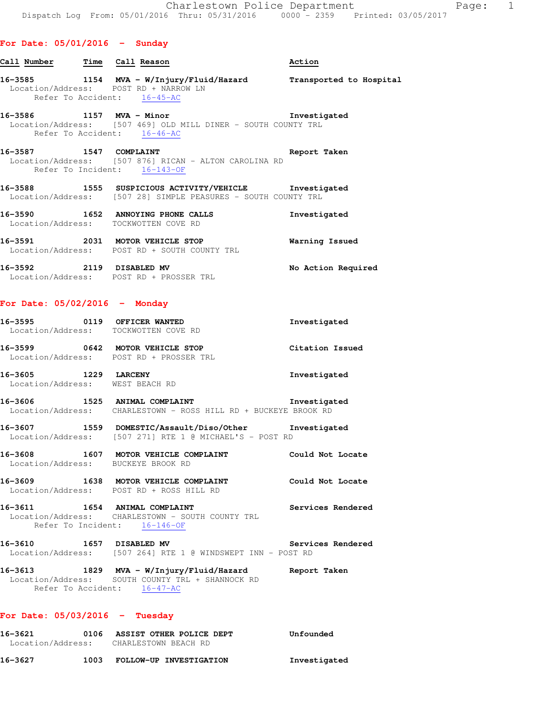## **16-3585 1154 MVA - W/Injury/Fluid/Hazard Transported to Hospital**  Location/Address: POST RD + NARROW LN Refer To Accident: 16-45-AC

#### **16-3586 1157 MVA - Minor Investigated**  Location/Address: [507 469] OLD MILL DINER - SOUTH COUNTY TRL Refer To Accident: 16-46-AC

**Call Number Time Call Reason Action** 

- **16-3587 1547 COMPLAINT Report Taken**  Location/Address: [507 876] RICAN - ALTON CAROLINA RD Refer To Incident: 16-143-OF
- **16-3588 1555 SUSPICIOUS ACTIVITY/VEHICLE Investigated**  Location/Address: [507 28] SIMPLE PEASURES - SOUTH COUNTY TRL
- **16-3590 1652 ANNOYING PHONE CALLS Investigated**  Location/Address: TOCKWOTTEN COVE RD
- **16-3591 2031 MOTOR VEHICLE STOP Warning Issued**  Location/Address: POST RD + SOUTH COUNTY TRL
- 16-3592 2119 DISABLED MV **No Action Required** Location/Address: POST RD + PROSSER TRL

#### **For Date: 05/02/2016 - Monday**

| 16-3595 0119 OFFICER WANTED<br>Location/Address: TOCKWOTTEN COVE RD |                                                                                                                  | Investigated      |
|---------------------------------------------------------------------|------------------------------------------------------------------------------------------------------------------|-------------------|
| 16-3599 0642 MOTOR VEHICLE STOP                                     | Location/Address: POST RD + PROSSER TRL                                                                          | Citation Issued   |
| 16-3605 1229 LARCENY<br>Location/Address: WEST BEACH RD             |                                                                                                                  | Investigated      |
|                                                                     | 16-3606 1525 ANIMAL COMPLAINT<br>Location/Address: CHARLESTOWN - ROSS HILL RD + BUCKEYE BROOK RD                 | Investigated      |
|                                                                     | 16-3607 1559 DOMESTIC/Assault/Diso/Other Investigated<br>Location/Address: [507 271] RTE 1 @ MICHAEL'S - POST RD |                   |
| Location/Address: BUCKEYE BROOK RD                                  | 16-3608 1607 MOTOR VEHICLE COMPLAINT                                                                             | Could Not Locate  |
|                                                                     | 16-3609 1638 MOTOR VEHICLE COMPLAINT<br>Location/Address: POST RD + ROSS HILL RD                                 | Could Not Locate  |
| 16-3611 1654 ANIMAL COMPLAINT                                       | Location/Address: CHARLESTOWN - SOUTH COUNTY TRL<br>Refer To Incident: 16-146-OF                                 | Services Rendered |

- **16-3610 1657 DISABLED MV Services Rendered**  Location/Address: [507 264] RTE 1 @ WINDSWEPT INN - POST RD
- **16-3613 1829 MVA W/Injury/Fluid/Hazard Report Taken**  Location/Address: SOUTH COUNTY TRL + SHANNOCK RD Refer To Accident: 16-47-AC

#### **For Date: 05/03/2016 - Tuesday**

| 16–3621           |      | 0106 ASSIST OTHER POLICE DEPT | Unfounded    |
|-------------------|------|-------------------------------|--------------|
| Location/Address: |      | CHARLESTOWN BEACH RD          |              |
| 16–3627           | 1003 | FOLLOW-UP INVESTIGATION       | Investigated |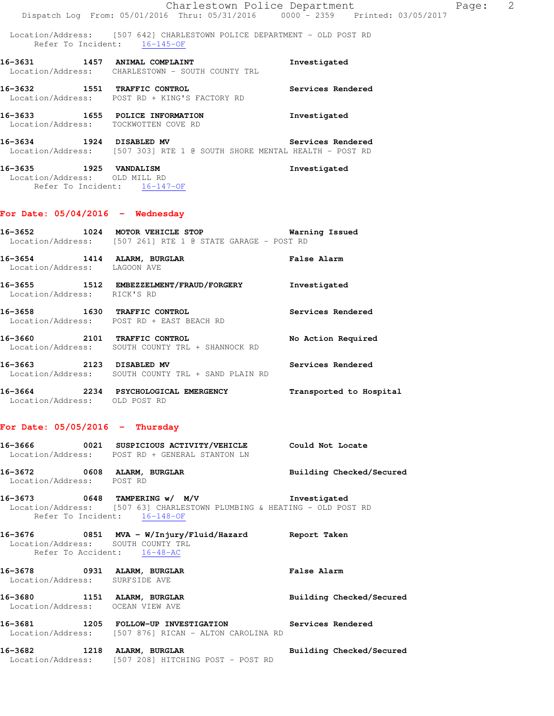Location/Address: [507 642] CHARLESTOWN POLICE DEPARTMENT - OLD POST RD Refer To Incident: 16-145-OF

**16-3631 1457 ANIMAL COMPLAINT Investigated**  Location/Address: CHARLESTOWN - SOUTH COUNTY TRL **16-3632 1551 TRAFFIC CONTROL Services Rendered**  Location/Address: POST RD + KING'S FACTORY RD

**16-3633 1655 POLICE INFORMATION Investigated**  Location/Address: TOCKWOTTEN COVE RD

**16-3634 1924 DISABLED MV Services Rendered**  Location/Address: [507 303] RTE 1 @ SOUTH SHORE MENTAL HEALTH - POST RD

**16-3635 1925 VANDALISM Investigated**  Location/Address: OLD MILL RD Refer To Incident: 16-147-OF

#### **For Date: 05/04/2016 - Wednesday**

| 16–3652           | 1024 | MOTOR VEHICLE STOP |  |  |                                          |  | Warning Issued |  |
|-------------------|------|--------------------|--|--|------------------------------------------|--|----------------|--|
| Location/Address: |      |                    |  |  | [507 261] RTE 1 @ STATE GARAGE – POST RD |  |                |  |

**16-3654 1414 ALARM, BURGLAR False Alarm**  Location/Address: LAGOON AVE

**16-3655 1512 EMBEZZELMENT/FRAUD/FORGERY Investigated**  Location/Address: RICK'S RD

**16-3658 1630 TRAFFIC CONTROL Services Rendered**  Location/Address: POST RD + EAST BEACH RD

**16-3660 2101 TRAFFIC CONTROL No Action Required**  Location/Address: SOUTH COUNTY TRL + SHANNOCK RD

**16-3663 2123 DISABLED MV Services Rendered**  Location/Address: SOUTH COUNTY TRL + SAND PLAIN RD

**16-3664 2234 PSYCHOLOGICAL EMERGENCY Transported to Hospital**  Location/Address: OLD POST RD

#### **For Date: 05/05/2016 - Thursday**

**16-3666 0021 SUSPICIOUS ACTIVITY/VEHICLE Could Not Locate**  Location/Address: POST RD + GENERAL STANTON LN **16-3672 0608 ALARM, BURGLAR Building Checked/Secured** 

Location/Address: POST RD **16-3673 0648 TAMPERING w/ M/V Investigated** 

 Location/Address: [507 63] CHARLESTOWN PLUMBING & HEATING - OLD POST RD Refer To Incident: 16-148-OF

**16-3676 0851 MVA - W/Injury/Fluid/Hazard Report Taken**  Location/Address: SOUTH COUNTY TRL Refer To Accident: 16-48-AC **16-3678 0931 ALARM, BURGLAR False Alarm** 

Location/Address: SURFSIDE AVE

16-3680 1151 ALARM, BURGLAR **Building Checked/Secured** Location/Address: OCEAN VIEW AVE

**16-3681 1205 FOLLOW-UP INVESTIGATION Services Rendered**  Location/Address: [507 876] RICAN - ALTON CAROLINA RD

**16-3682 1218 ALARM, BURGLAR Building Checked/Secured**  Location/Address: [507 208] HITCHING POST - POST RD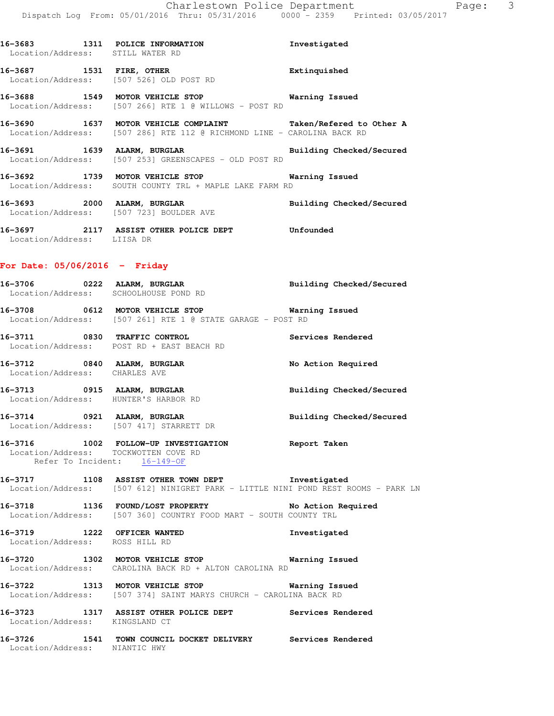| Location/Address: STILL WATER RD                                    | 16-3683 1311 POLICE INFORMATION                                                                                                         | Investigated             |
|---------------------------------------------------------------------|-----------------------------------------------------------------------------------------------------------------------------------------|--------------------------|
| 16-3687 1531 FIRE, OTHER<br>Location/Address: [507 526] OLD POST RD |                                                                                                                                         | Extinquished             |
| 16-3688 1549 MOTOR VEHICLE STOP                                     | Location/Address: [507 266] RTE 1 @ WILLOWS - POST RD                                                                                   | Warning Issued           |
|                                                                     | 16-3690 1637 MOTOR VEHICLE COMPLAINT Taken/Refered to Other A<br>Location/Address: [507 286] RTE 112 @ RICHMOND LINE - CAROLINA BACK RD |                          |
|                                                                     | 16-3691 1639 ALARM, BURGLAR<br>Location/Address: [507 253] GREENSCAPES - OLD POST RD                                                    | Building Checked/Secured |
|                                                                     | 16-3692 1739 MOTOR VEHICLE STOP <b>WATER</b> Warning Issued<br>Location/Address: SOUTH COUNTY TRL + MAPLE LAKE FARM RD                  |                          |
| Location/Address: [507 723] BOULDER AVE                             | 16-3693 2000 ALARM, BURGLAR                                                                                                             | Building Checked/Secured |

**16-3697 2117 ASSIST OTHER POLICE DEPT Unfounded**  Location/Address: LIISA DR

#### **For Date: 05/06/2016 - Friday**

| 16-3706 | 0222 | ALARM, BURGLAR<br>Location/Address: SCHOOLHOUSE POND RD                          | Building Checked/Secured |
|---------|------|----------------------------------------------------------------------------------|--------------------------|
| 16-3708 | 0612 | MOTOR VEHICLE STOP<br>Location/Address: [507 261] RTE 1 @ STATE GARAGE - POST RD | Warning Issued           |
| 16-3711 | 0830 | TRAFFIC CONTROL<br>Location/Address: POST RD + EAST BEACH RD                     | Services Rendered        |
| 16-3712 | 0840 | ALARM, BURGLAR                                                                   | No Action Required       |

 Location/Address: CHARLES AVE **16-3713 0915 ALARM, BURGLAR Building Checked/Secured**  Location/Address: HUNTER'S HARBOR RD

**16-3714 0921 ALARM, BURGLAR Building Checked/Secured**  Location/Address: [507 417] STARRETT DR

**16-3716 1002 FOLLOW-UP INVESTIGATION Report Taken**  Location/Address: TOCKWOTTEN COVE RD Refer To Incident: 16-149-OF

**16-3717 1108 ASSIST OTHER TOWN DEPT Investigated**  Location/Address: [507 612] NINIGRET PARK - LITTLE NINI POND REST ROOMS - PARK LN

**16-3718 1136 FOUND/LOST PROPERTY No Action Required**  Location/Address: [507 360] COUNTRY FOOD MART - SOUTH COUNTY TRL

**16-3719 1222 OFFICER WANTED Investigated**  Location/Address: ROSS HILL RD

**16-3720 1302 MOTOR VEHICLE STOP Warning Issued**  Location/Address: CAROLINA BACK RD + ALTON CAROLINA RD

**16-3722 1313 MOTOR VEHICLE STOP Warning Issued**  Location/Address: [507 374] SAINT MARYS CHURCH - CAROLINA BACK RD

**16-3723 1317 ASSIST OTHER POLICE DEPT Services Rendered**  Location/Address: KINGSLAND CT

**16-3726 1541 TOWN COUNCIL DOCKET DELIVERY Services Rendered**  Location/Address: NIANTIC HWY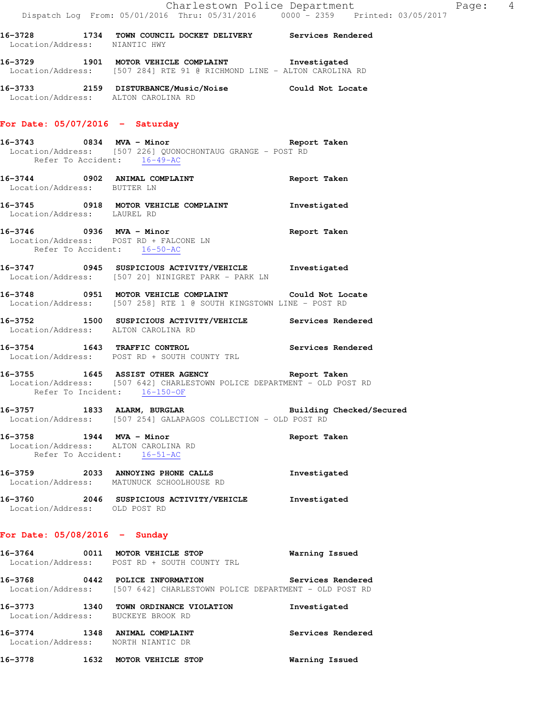**16-3728 1734 TOWN COUNCIL DOCKET DELIVERY Services Rendered**  Location/Address: NIANTIC HWY **16-3729 1901 MOTOR VEHICLE COMPLAINT Investigated** 

Location/Address: [507 284] RTE 91 @ RICHMOND LINE - ALTON CAROLINA RD

**16-3733 2159 DISTURBANCE/Music/Noise Could Not Locate**  Location/Address: ALTON CAROLINA RD

# **For Date: 05/07/2016 - Saturday**

- **16-3743 0834 MVA Minor Report Taken**  Location/Address: [507 226] QUONOCHONTAUG GRANGE - POST RD Refer To Accident: 16-49-AC
- **16-3744 0902 ANIMAL COMPLAINT Report Taken**  Location/Address: BUTTER LN
- **16-3745 0918 MOTOR VEHICLE COMPLAINT Investigated**  Location/Address: LAUREL RD
- **16-3746 0936 MVA Minor Report Taken**  Location/Address: POST RD + FALCONE LN Refer To Accident: 16-50-AC
- **16-3747 0945 SUSPICIOUS ACTIVITY/VEHICLE Investigated**  Location/Address: [507 20] NINIGRET PARK - PARK LN
- **16-3748 0951 MOTOR VEHICLE COMPLAINT Could Not Locate**  Location/Address: [507 258] RTE 1 @ SOUTH KINGSTOWN LINE - POST RD
- **16-3752 1500 SUSPICIOUS ACTIVITY/VEHICLE Services Rendered**  Location/Address: ALTON CAROLINA RD
- **16-3754 1643 TRAFFIC CONTROL Services Rendered**  Location/Address: POST RD + SOUTH COUNTY TRL
- **16-3755 1645 ASSIST OTHER AGENCY Report Taken**  Location/Address: [507 642] CHARLESTOWN POLICE DEPARTMENT - OLD POST RD Refer To Incident: 16-150-OF
- **16-3757 1833 ALARM, BURGLAR Building Checked/Secured**  Location/Address: [507 254] GALAPAGOS COLLECTION - OLD POST RD
- **16-3758 1944 MVA Minor Report Taken**  Location/Address: ALTON CAROLINA RD Refer To Accident: 16-51-AC
- **16-3759 2033 ANNOYING PHONE CALLS Investigated**  Location/Address: MATUNUCK SCHOOLHOUSE RD
- **16-3760 2046 SUSPICIOUS ACTIVITY/VEHICLE Investigated**  Location/Address: OLD POST RD

# **For Date: 05/08/2016 - Sunday**

- **16-3764 0011 MOTOR VEHICLE STOP Warning Issued**  Location/Address: POST RD + SOUTH COUNTY TRL **16-3768 0442 POLICE INFORMATION Services Rendered**  Location/Address: [507 642] CHARLESTOWN POLICE DEPARTMENT - OLD POST RD
- **16-3773 1340 TOWN ORDINANCE VIOLATION Investigated**  Location/Address: BUCKEYE BROOK RD **16-3774 1348 ANIMAL COMPLAINT Services Rendered**  Location/Address: NORTH NIANTIC DR **16-3778 1632 MOTOR VEHICLE STOP Warning Issued**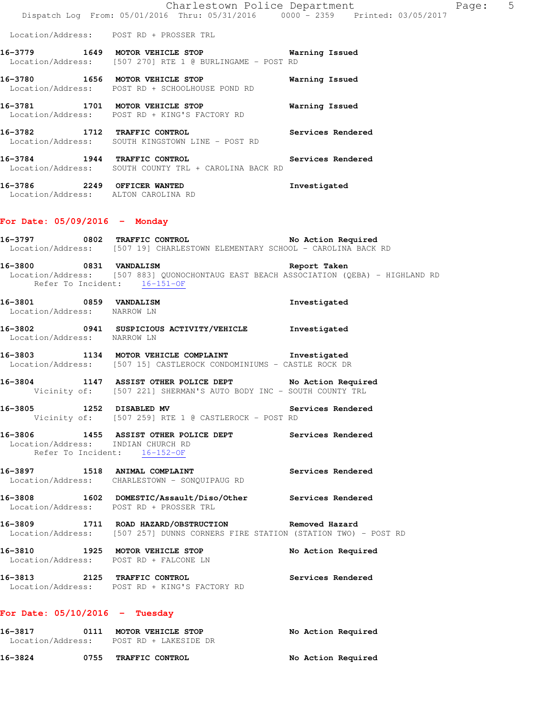|                                                       | Dispatch Log From: 05/01/2016 Thru: 05/31/2016 0000 - 2359 Printed: 03/05/2017                                                        | Charlestown Police Department | Page: | $5\overline{)}$ |
|-------------------------------------------------------|---------------------------------------------------------------------------------------------------------------------------------------|-------------------------------|-------|-----------------|
|                                                       | Location/Address: POST RD + PROSSER TRL                                                                                               |                               |       |                 |
|                                                       | 16-3779 1649 MOTOR VEHICLE STOP 1997 Warning Issued<br>Location/Address: [507 270] RTE 1 @ BURLINGAME - POST RD                       |                               |       |                 |
|                                                       | 16-3780 1656 MOTOR VEHICLE STOP<br>Location/Address: POST RD + SCHOOLHOUSE POND RD                                                    | Warning Issued                |       |                 |
|                                                       | 16-3781 1701 MOTOR VEHICLE STOP<br>Location/Address: POST RD + KING'S FACTORY RD                                                      | Warning Issued                |       |                 |
|                                                       | 16-3782 1712 TRAFFIC CONTROL<br>Location/Address: SOUTH KINGSTOWN LINE - POST RD                                                      | Services Rendered             |       |                 |
| 16-3784 1944 TRAFFIC CONTROL                          | Location/Address: SOUTH COUNTY TRL + CAROLINA BACK RD                                                                                 | Services Rendered             |       |                 |
|                                                       | 16-3786 2249 OFFICER WANTED<br>Location/Address: ALTON CAROLINA RD                                                                    | Investigated                  |       |                 |
| For Date: $05/09/2016$ - Monday                       |                                                                                                                                       |                               |       |                 |
|                                                       | 16-3797 0802 TRAFFIC CONTROL No Action Required<br>Location/Address: [507 19] CHARLESTOWN ELEMENTARY SCHOOL - CAROLINA BACK RD        |                               |       |                 |
| 16-3800 0831 VANDALISM                                | Location/Address: [507 883] QUONOCHONTAUG EAST BEACH ASSOCIATION (QEBA) - HIGHLAND RD<br>Refer To Incident: 16-151-OF                 | Report Taken                  |       |                 |
| 16-3801 0859 VANDALISM<br>Location/Address: NARROW LN |                                                                                                                                       | Investigated                  |       |                 |
| Location/Address: NARROW LN                           | 16-3802 0941 SUSPICIOUS ACTIVITY/VEHICLE                                                                                              | Investigated                  |       |                 |
|                                                       | 16-3803 1134 MOTOR VEHICLE COMPLAINT Threstigated<br>Location/Address: [507 15] CASTLEROCK CONDOMINIUMS - CASTLE ROCK DR              |                               |       |                 |
|                                                       | 16-3804 1147 ASSIST OTHER POLICE DEPT No Action Required<br>Vicinity of: [507 221] SHERMAN'S AUTO BODY INC - SOUTH COUNTY TRL         |                               |       |                 |
| 16-3805                                               | 1252 DISABLED MV<br>Vicinity of: [507 259] RTE 1 @ CASTLEROCK - POST RD                                                               | Services Rendered             |       |                 |
| Location/Address: INDIAN CHURCH RD                    | 16-3806 1455 ASSIST OTHER POLICE DEPT Services Rendered<br>Refer To Incident: 16-152-OF                                               |                               |       |                 |
|                                                       | 16-3897 1518 ANIMAL COMPLAINT<br>Location/Address: CHARLESTOWN - SONQUIPAUG RD                                                        | Services Rendered             |       |                 |
|                                                       | 16-3808 1602 DOMESTIC/Assault/Diso/Other Services Rendered<br>Location/Address: POST RD + PROSSER TRL                                 |                               |       |                 |
|                                                       | 16-3809 1711 ROAD HAZARD/OBSTRUCTION Removed Hazard<br>Location/Address: [507 257] DUNNS CORNERS FIRE STATION (STATION TWO) - POST RD |                               |       |                 |
|                                                       | 16-3810 1925 MOTOR VEHICLE STOP<br>Location/Address: POST RD + FALCONE LN                                                             | No Action Required            |       |                 |
| 16-3813 2125 TRAFFIC CONTROL                          | Location/Address: POST RD + KING'S FACTORY RD                                                                                         | Services Rendered             |       |                 |
| For Date: $05/10/2016$ - Tuesday                      |                                                                                                                                       |                               |       |                 |
| 16-3817                                               | 0111 MOTOR VEHICLE STOP<br>Location/Address: POST RD + LAKESIDE DR                                                                    | No Action Required            |       |                 |
| 16-3824                                               | 0755 TRAFFIC CONTROL                                                                                                                  | No Action Required            |       |                 |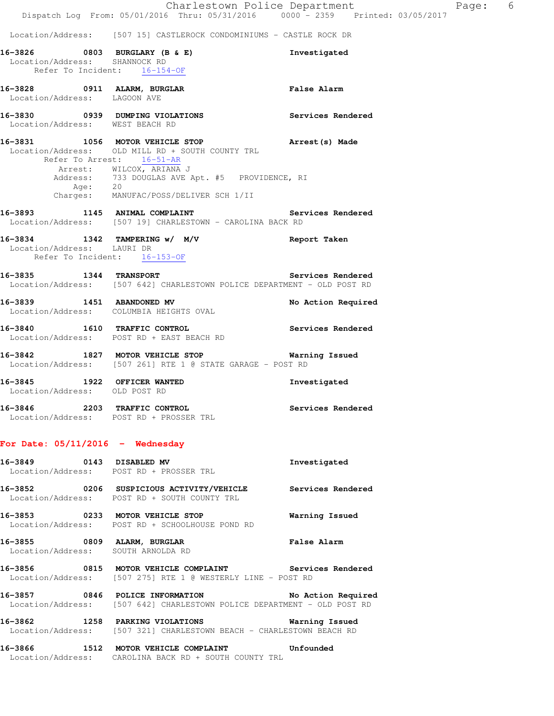#### Location/Address: [507 15] CASTLEROCK CONDOMINIUMS - CASTLE ROCK DR

|                               | 16-3826 0803 BURGLARY (B & E)<br>Location/Address: SHANNOCK RD<br>Refer To Incident: 16-154-OF                                                                                                                                                       | Investigated       |
|-------------------------------|------------------------------------------------------------------------------------------------------------------------------------------------------------------------------------------------------------------------------------------------------|--------------------|
| Location/Address: LAGOON AVE  | 16-3828 0911 ALARM, BURGLAR                                                                                                                                                                                                                          | <b>False Alarm</b> |
|                               | 16-3830 0939 DUMPING VIOLATIONS<br>Location/Address: WEST BEACH RD                                                                                                                                                                                   | Services Rendered  |
|                               | 16-3831 1056 MOTOR VEHICLE STOP<br>Location/Address: OLD MILL RD + SOUTH COUNTY TRL<br>Refer To Arrest: 16-51-AR<br>Arrest: WILCOX, ARIANA J<br>Address: 733 DOUGLAS AVE Apt. #5 PROVIDENCE, RI<br>Age: 20<br>Charges: MANUFAC/POSS/DELIVER SCH 1/II | Arrest (s) Made    |
|                               | 16-3893 1145 ANIMAL COMPLAINT Services Rendered<br>Location/Address: [507 19] CHARLESTOWN - CAROLINA BACK RD                                                                                                                                         |                    |
| Location/Address: LAURI DR    | 16-3834 1342 TAMPERING w/ M/V<br>Refer To Incident: 16-153-OF                                                                                                                                                                                        | Report Taken       |
|                               | 16-3835 1344 TRANSPORT Services Rendered<br>Location/Address: [507 642] CHARLESTOWN POLICE DEPARTMENT - OLD POST RD                                                                                                                                  | Services Rendered  |
|                               | 16-3839 1451 ABANDONED MV<br>Location/Address: COLUMBIA HEIGHTS OVAL                                                                                                                                                                                 | No Action Required |
|                               | 16-3840 1610 TRAFFIC CONTROL<br>Location/Address: POST RD + EAST BEACH RD                                                                                                                                                                            | Services Rendered  |
|                               | 16-3842 1827 MOTOR VEHICLE STOP<br>Location/Address: [507 261] RTE 1 @ STATE GARAGE - POST RD                                                                                                                                                        | Warning Issued     |
| Location/Address: OLD POST RD | 16-3845 1922 OFFICER WANTED                                                                                                                                                                                                                          | Investigated       |
|                               | 16-3846 2203 TRAFFIC CONTROL<br>Location/Address: POST RD + PROSSER TRL                                                                                                                                                                              | Services Rendered  |
|                               | For Date: $05/11/2016$ - Wednesday                                                                                                                                                                                                                   |                    |
| 16-3849 0143 DISABLED MV      | Location/Address: POST RD + PROSSER TRL                                                                                                                                                                                                              | Investigated       |
|                               | 16-3852 0206 SUSPICIOUS ACTIVITY/VEHICLE<br>Location/Address: POST RD + SOUTH COUNTY TRL                                                                                                                                                             | Services Rendered  |
|                               | 16-3853 0233 MOTOR VEHICLE STOP<br>Location/Address: POST RD + SCHOOLHOUSE POND RD                                                                                                                                                                   | Warning Issued     |
|                               | 16-3855 0809 ALARM, BURGLAR<br>Location/Address: SOUTH ARNOLDA RD                                                                                                                                                                                    | <b>False Alarm</b> |
| 16-3856                       | 0815 MOTOR VEHICLE COMPLAINT<br>Location/Address: [507 275] RTE 1 @ WESTERLY LINE - POST RD                                                                                                                                                          | Services Rendered  |

**16-3857 0846 POLICE INFORMATION No Action Required**  Location/Address: [507 642] CHARLESTOWN POLICE DEPARTMENT - OLD POST RD

**16-3862 1258 PARKING VIOLATIONS Warning Issued**  Location/Address: [507 321] CHARLESTOWN BEACH - CHARLESTOWN BEACH RD

**16-3866 1512 MOTOR VEHICLE COMPLAINT Unfounded**  Location/Address: CAROLINA BACK RD + SOUTH COUNTY TRL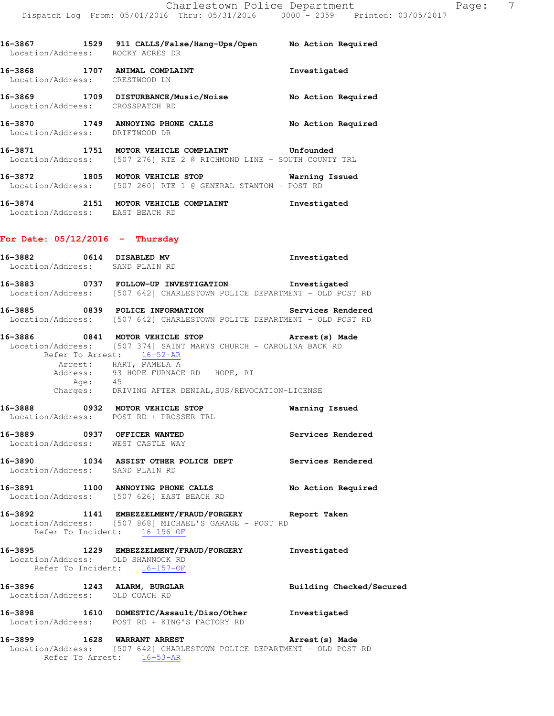| 16-3867<br>1529<br>Location/Address: | 911 CALLS/False/Hang-Ups/Open<br>ROCKY ACRES DR | No Action Required |
|--------------------------------------|-------------------------------------------------|--------------------|
| 16-3868<br>1707<br>Location/Address: | ANIMAL COMPLAINT<br>CRESTWOOD LN                | Investigated       |

**16-3869 1709 DISTURBANCE/Music/Noise No Action Required**  Location/Address: CROSSPATCH RD

**16-3870 1749 ANNOYING PHONE CALLS No Action Required**  Location/Address: DRIFTWOOD DR

**16-3871 1751 MOTOR VEHICLE COMPLAINT Unfounded**  Location/Address: [507 276] RTE 2 @ RICHMOND LINE - SOUTH COUNTY TRL

**16-3872 1805 MOTOR VEHICLE STOP Warning Issued**  Location/Address: [507 260] RTE 1 @ GENERAL STANTON - POST RD

**16-3874 2151 MOTOR VEHICLE COMPLAINT Investigated**  Location/Address: EAST BEACH RD

## **For Date: 05/12/2016 - Thursday**

| 16-3882 0614 DISABLED MV<br>Location/Address: SAND PLAIN RD       |                                                                                                                                                                                                                                                                                            | Investigated             |
|-------------------------------------------------------------------|--------------------------------------------------------------------------------------------------------------------------------------------------------------------------------------------------------------------------------------------------------------------------------------------|--------------------------|
|                                                                   | 16-3883 0737 FOLLOW-UP INVESTIGATION Investigated<br>Location/Address: [507 642] CHARLESTOWN POLICE DEPARTMENT - OLD POST RD                                                                                                                                                               |                          |
|                                                                   | 16-3885 0839 POLICE INFORMATION Services Rendered<br>Location/Address: [507 642] CHARLESTOWN POLICE DEPARTMENT - OLD POST RD                                                                                                                                                               |                          |
|                                                                   | 16-3886 0841 MOTOR VEHICLE STOP 10 Arrest (s) Made<br>Location/Address: [507 374] SAINT MARYS CHURCH - CAROLINA BACK RD<br>Refer To Arrest: 16-52-AR<br>Arrest: HART, PAMELA A<br>Address: 93 HOPE FURNACE RD HOPE, RI<br>Age: 45<br>Charges: DRIVING AFTER DENIAL, SUS/REVOCATION-LICENSE |                          |
|                                                                   | 16-3888 0932 MOTOR VEHICLE STOP<br>Location/Address: POST RD + PROSSER TRL                                                                                                                                                                                                                 | <b>Warning Issued</b>    |
|                                                                   | 16-3889 0937 OFFICER WANTED<br>Location/Address: WEST CASTLE WAY                                                                                                                                                                                                                           | Services Rendered        |
| Location/Address: SAND PLAIN RD                                   | 16-3890 1034 ASSIST OTHER POLICE DEPT Services Rendered                                                                                                                                                                                                                                    |                          |
|                                                                   | 16-3891 1100 ANNOYING PHONE CALLS No Action Required<br>Location/Address: [507 626] EAST BEACH RD                                                                                                                                                                                          |                          |
| Refer To Incident: 16-156-OF                                      | 16-3892 1141 EMBEZZELMENT/FRAUD/FORGERY Report Taken<br>Location/Address: [507 868] MICHAEL'S GARAGE - POST RD                                                                                                                                                                             |                          |
| Location/Address: OLD SHANNOCK RD<br>Refer To Incident: 16-157-OF | 16-3895 1229 EMBEZZELMENT/FRAUD/FORGERY Investigated                                                                                                                                                                                                                                       |                          |
| Location/Address: OLD COACH RD                                    | 16-3896 1243 ALARM, BURGLAR                                                                                                                                                                                                                                                                | Building Checked/Secured |
|                                                                   | 16-3898 1610 DOMESTIC/Assault/Diso/Other Investigated<br>Location/Address: POST RD + KING'S FACTORY RD                                                                                                                                                                                     |                          |
| 16-3899 1628 WARRANT ARREST                                       | Location/Address: [507 642] CHARLESTOWN POLICE DEPARTMENT - OLD POST RD<br>Refer To Arrest: 16-53-AR                                                                                                                                                                                       | Arrest(s) Made           |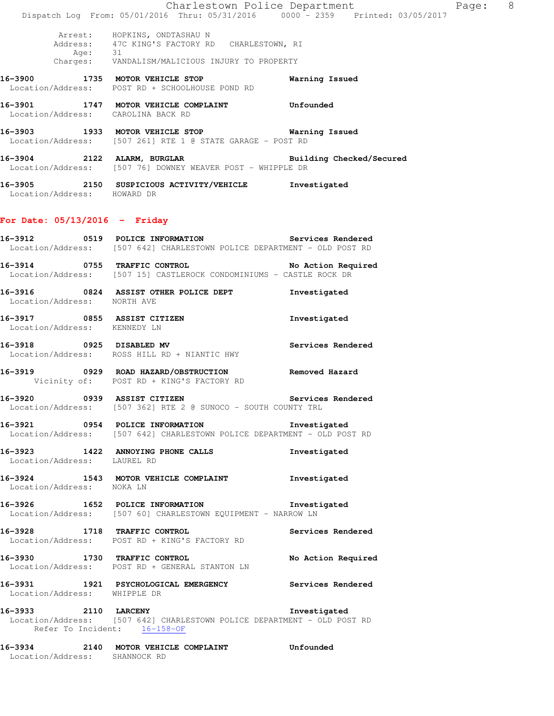|                                                      | Dispatch Log From: 05/01/2016 Thru: 05/31/2016 0000 - 2359 Printed: 03/05/2017                                                     | Charlestown Police Department | Page: 8 |  |
|------------------------------------------------------|------------------------------------------------------------------------------------------------------------------------------------|-------------------------------|---------|--|
| Age: 31                                              | Arrest: HOPKINS, ONDTASHAU N<br>Address: 47C KING'S FACTORY RD CHARLESTOWN, RI<br>Charges: VANDALISM/MALICIOUS INJURY TO PROPERTY  |                               |         |  |
|                                                      | 16-3900 1735 MOTOR VEHICLE STOP<br>Location/Address: POST RD + SCHOOLHOUSE POND RD                                                 | Warning Issued                |         |  |
| Location/Address: CAROLINA BACK RD                   |                                                                                                                                    |                               |         |  |
|                                                      | 16-3903 1933 MOTOR VEHICLE STOP 1999 Warning Issued<br>Location/Address: [507 261] RTE 1 @ STATE GARAGE - POST RD                  |                               |         |  |
|                                                      | 16-3904 2122 ALARM, BURGLAR 2008 2011 Building Checked/Secured<br>Location/Address: [507 76] DOWNEY WEAVER POST - WHIPPLE DR       |                               |         |  |
| Location/Address: HOWARD DR                          | 16-3905 2150 SUSPICIOUS ACTIVITY/VEHICLE Investigated                                                                              |                               |         |  |
| For Date: $05/13/2016$ - Friday                      |                                                                                                                                    |                               |         |  |
|                                                      | 16-3912 		 0519 POLICE INFORMATION 		 Services Rendered<br>Location/Address: [507 642] CHARLESTOWN POLICE DEPARTMENT - OLD POST RD |                               |         |  |
|                                                      | 16-3914 0755 TRAFFIC CONTROL<br>Location/Address: [507 15] CASTLEROCK CONDOMINIUMS - CASTLE ROCK DR                                | No Action Required            |         |  |
| Location/Address: NORTH AVE                          | 16-3916 0824 ASSIST OTHER POLICE DEPT                                                                                              | Investigated                  |         |  |
| Location/Address: KENNEDY LN                         | 16-3917 0855 ASSIST CITIZEN                                                                                                        | Investigated                  |         |  |
|                                                      | 16-3918 0925 DISABLED MV<br>Location/Address: ROSS HILL RD + NIANTIC HWY                                                           | Services Rendered             |         |  |
|                                                      | 16-3919 0929 ROAD HAZARD/OBSTRUCTION<br>Vicinity of: POST RD + KING'S FACTORY RD                                                   | Removed Hazard                |         |  |
| 16-3920 0939 ASSIST CITIZEN                          | Location/Address: [507 362] RTE 2 @ SUNOCO - SOUTH COUNTY TRL                                                                      | Services Rendered             |         |  |
|                                                      | 16-3921 0954 POLICE INFORMATION 1nvestigated<br>Location/Address: [507 642] CHARLESTOWN POLICE DEPARTMENT - OLD POST RD            |                               |         |  |
| Location/Address: LAUREL RD                          | 16-3923 1422 ANNOYING PHONE CALLS                                                                                                  | Investigated                  |         |  |
| Location/Address: NOKA LN                            | 16-3924 1543 MOTOR VEHICLE COMPLAINT Threstigated                                                                                  |                               |         |  |
|                                                      | 16-3926 1652 POLICE INFORMATION 1nvestigated<br>Location/Address: [507 60] CHARLESTOWN EQUIPMENT - NARROW LN                       |                               |         |  |
|                                                      | 16-3928 1718 TRAFFIC CONTROL<br>Location/Address: POST RD + KING'S FACTORY RD                                                      | Services Rendered             |         |  |
|                                                      | 16-3930 1730 TRAFFIC CONTROL<br>Location/Address: POST RD + GENERAL STANTON LN                                                     | No Action Required            |         |  |
| Location/Address: WHIPPLE DR                         | 16-3931 1921 PSYCHOLOGICAL EMERGENCY Services Rendered                                                                             |                               |         |  |
| 16-3933 2110 LARCENY<br>Refer To Incident: 16-158-OF | Location/Address: [507 642] CHARLESTOWN POLICE DEPARTMENT - OLD POST RD                                                            | Investigated                  |         |  |
| Location/Address: SHANNOCK RD                        |                                                                                                                                    |                               |         |  |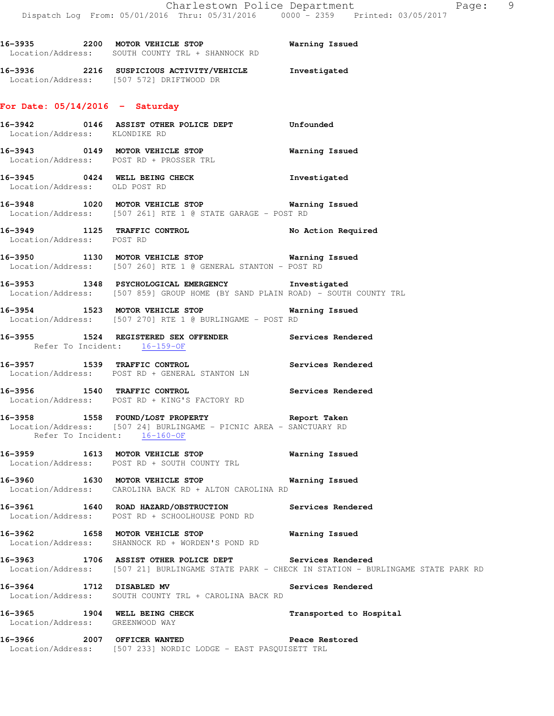|                                   | 16-3935 2200 MOTOR VEHICLE STOP 6 Warning Issued<br>Location/Address: SOUTH COUNTY TRL + SHANNOCK RD                                |                |
|-----------------------------------|-------------------------------------------------------------------------------------------------------------------------------------|----------------|
|                                   | 16-3936 2216 SUSPICIOUS ACTIVITY/VEHICLE Investigated<br>Location/Address: [507 572] DRIFTWOOD DR                                   |                |
| For Date: $05/14/2016$ - Saturday |                                                                                                                                     |                |
| Location/Address: KLONDIKE RD     | 16-3942 0146 ASSIST OTHER POLICE DEPT Unfounded                                                                                     |                |
|                                   | 16-3943 0149 MOTOR VEHICLE STOP<br>Location/Address: POST RD + PROSSER TRL                                                          | Warning Issued |
| Location/Address: OLD POST RD     | 16-3945 0424 WELL BEING CHECK 1nvestigated                                                                                          |                |
|                                   | 16-3948 1020 MOTOR VEHICLE STOP 6 Warning Issued<br>Location/Address: [507 261] RTE 1 @ STATE GARAGE - POST RD                      |                |
| Location/Address: POST RD         | 16-3949 1125 TRAFFIC CONTROL No Action Required                                                                                     |                |
|                                   | 16-3950 1130 MOTOR VEHICLE STOP 6 Warning Issued<br>Location/Address: [507 260] RTE 1 @ GENERAL STANTON - POST RD                   |                |
|                                   | 16-3953 1348 PSYCHOLOGICAL EMERGENCY 1nvestigated<br>Location/Address: [507 859] GROUP HOME (BY SAND PLAIN ROAD) - SOUTH COUNTY TRL |                |
|                                   | 16-3954 1523 MOTOR VEHICLE STOP<br>Location/Address: [507 270] RTE 1 @ BURLINGAME - POST RD                                         | Warning Issued |

# **16-3955 1524 REGISTERED SEX OFFENDER Services Rendered**  Refer To Incident: 16-159-OF

**16-3957 1539 TRAFFIC CONTROL Services Rendered**  Location/Address: POST RD + GENERAL STANTON LN

**16-3956 1540 TRAFFIC CONTROL Services Rendered**  Location/Address: POST RD + KING'S FACTORY RD

#### **16-3958 1558 FOUND/LOST PROPERTY Report Taken**  Location/Address: [507 24] BURLINGAME - PICNIC AREA - SANCTUARY RD Refer To Incident: 16-160-OF

**16-3959 1613 MOTOR VEHICLE STOP Warning Issued**  Location/Address: POST RD + SOUTH COUNTY TRL

**16-3960 1630 MOTOR VEHICLE STOP Warning Issued**  Location/Address: CAROLINA BACK RD + ALTON CAROLINA RD

**16-3961 1640 ROAD HAZARD/OBSTRUCTION Services Rendered**  Location/Address: POST RD + SCHOOLHOUSE POND RD

**16-3962 1658 MOTOR VEHICLE STOP Warning Issued**  Location/Address: SHANNOCK RD + WORDEN'S POND RD

**16-3963 1706 ASSIST OTHER POLICE DEPT Services Rendered**  Location/Address: [507 21] BURLINGAME STATE PARK - CHECK IN STATION - BURLINGAME STATE PARK RD

**16-3964 1712 DISABLED MV Services Rendered**  Location/Address: SOUTH COUNTY TRL + CAROLINA BACK RD

**16-3965 1904 WELL BEING CHECK Transported to Hospital**  Location/Address: GREENWOOD WAY

**16-3966 2007 OFFICER WANTED Peace Restored**  Location/Address: [507 233] NORDIC LODGE - EAST PASQUISETT TRL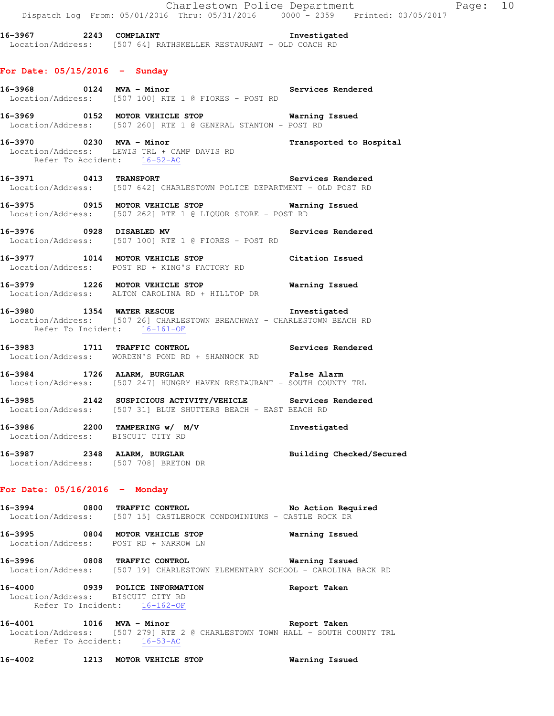**16-3967 2243 COMPLAINT Investigated**  Location/Address: [507 64] RATHSKELLER RESTAURANT - OLD COACH RD

#### **For Date: 05/15/2016 - Sunday**

- 16-3968 **0124 MVA Minor** Services Rendered Location/Address: [507 100] RTE 1 @ FIORES - POST RD **16-3969 0152 MOTOR VEHICLE STOP Warning Issued**  Location/Address: [507 260] RTE 1 @ GENERAL STANTON - POST RD
- **16-3970 0230 MVA Minor Transported to Hospital**  Location/Address: LEWIS TRL + CAMP DAVIS RD Refer To Accident: 16-52-AC
- **16-3971 0413 TRANSPORT Services Rendered**  Location/Address: [507 642] CHARLESTOWN POLICE DEPARTMENT - OLD POST RD
- **16-3975 0915 MOTOR VEHICLE STOP Warning Issued**  Location/Address: [507 262] RTE 1 @ LIQUOR STORE - POST RD
- **16-3976 0928 DISABLED MV Services Rendered**  Location/Address: [507 100] RTE 1 @ FIORES - POST RD
- **16-3977 1014 MOTOR VEHICLE STOP Citation Issued**  Location/Address: POST RD + KING'S FACTORY RD
- **16-3979 1226 MOTOR VEHICLE STOP Warning Issued**  Location/Address: ALTON CAROLINA RD + HILLTOP DR
- **16-3980 1354 WATER RESCUE Investigated**  Location/Address: [507 26] CHARLESTOWN BREACHWAY - CHARLESTOWN BEACH RD Refer To Incident: 16-161-OF
- **16-3983 1711 TRAFFIC CONTROL Services Rendered**  Location/Address: WORDEN'S POND RD + SHANNOCK RD
- **16-3984 1726 ALARM, BURGLAR False Alarm**  Location/Address: [507 247] HUNGRY HAVEN RESTAURANT - SOUTH COUNTY TRL
- **16-3985 2142 SUSPICIOUS ACTIVITY/VEHICLE Services Rendered**  Location/Address: [507 31] BLUE SHUTTERS BEACH - EAST BEACH RD
- **16-3986 2200 TAMPERING w/ M/V Investigated**  Location/Address: BISCUIT CITY RD
- **16-3987 2348 ALARM, BURGLAR Building Checked/Secured**  Location/Address: [507 708] BRETON DR

#### **For Date: 05/16/2016 - Monday**

- **16-3994 0800 TRAFFIC CONTROL No Action Required**  Location/Address: [507 15] CASTLEROCK CONDOMINIUMS - CASTLE ROCK DR
- **16-3995 0804 MOTOR VEHICLE STOP Warning Issued**  Location/Address: POST RD + NARROW LN
- **16-3996 0808 TRAFFIC CONTROL Warning Issued**  Location/Address: [507 19] CHARLESTOWN ELEMENTARY SCHOOL - CAROLINA BACK RD
- **16-4000 0939 POLICE INFORMATION Report Taken**  Location/Address: BISCUIT CITY RD Refer To Incident: 16-162-OF
- **16-4001 1016 MVA Minor Report Taken**  Location/Address: [507 279] RTE 2 @ CHARLESTOWN TOWN HALL - SOUTH COUNTY TRL Refer To Accident: 16-53-AC

**16-4002 1213 MOTOR VEHICLE STOP Warning Issued**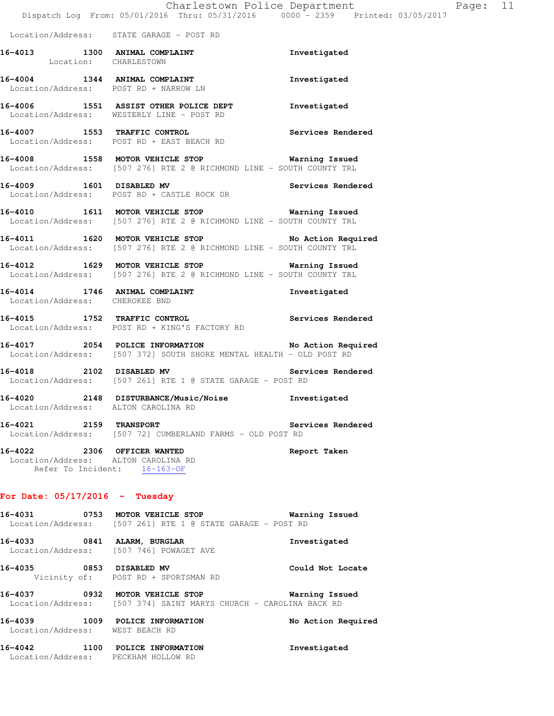Location/Address: STATE GARAGE - POST RD

- 16-4013 1300 ANIMAL COMPLAINT **16-4013** Investigated Location: CHARLESTOWN **16-4004 1344 ANIMAL COMPLAINT Investigated**  Location/Address: POST RD + NARROW LN
- **16-4006 1551 ASSIST OTHER POLICE DEPT Investigated**  Location/Address: WESTERLY LINE - POST RD
- **16-4007 1553 TRAFFIC CONTROL Services Rendered**  Location/Address: POST RD + EAST BEACH RD
- **16-4008 1558 MOTOR VEHICLE STOP Warning Issued**  Location/Address: [507 276] RTE 2 @ RICHMOND LINE - SOUTH COUNTY TRL
- **16-4009 1601 DISABLED MV Services Rendered**  Location/Address: POST RD + CASTLE ROCK DR
- **16-4010 1611 MOTOR VEHICLE STOP Warning Issued**  Location/Address: [507 276] RTE 2 @ RICHMOND LINE - SOUTH COUNTY TRL
- **16-4011 1620 MOTOR VEHICLE STOP No Action Required**  Location/Address: [507 276] RTE 2 @ RICHMOND LINE - SOUTH COUNTY TRL
- **16-4012 1629 MOTOR VEHICLE STOP Warning Issued**  Location/Address: [507 276] RTE 2 @ RICHMOND LINE - SOUTH COUNTY TRL
- **16-4014 1746 ANIMAL COMPLAINT Investigated**  Location/Address: CHEROKEE BND
- **16-4015 1752 TRAFFIC CONTROL Services Rendered**  Location/Address: POST RD + KING'S FACTORY RD
- **16-4017 2054 POLICE INFORMATION No Action Required**  Location/Address: [507 372] SOUTH SHORE MENTAL HEALTH - OLD POST RD
- **16-4018 2102 DISABLED MV Services Rendered**  Location/Address: [507 261] RTE 1 @ STATE GARAGE - POST RD
- **16-4020 2148 DISTURBANCE/Music/Noise Investigated**  Location/Address: ALTON CAROLINA RD
- **16-4021 2159 TRANSPORT Services Rendered**  Location/Address: [507 72] CUMBERLAND FARMS - OLD POST RD
- **16-4022 2306 OFFICER WANTED Report Taken**  Location/Address: ALTON CAROLINA RD Refer To Incident: 16-163-OF

#### **For Date: 05/17/2016 - Tuesday**

- **16-4031 0753 MOTOR VEHICLE STOP Warning Issued**  Location/Address: [507 261] RTE 1 @ STATE GARAGE - POST RD **16-4033 0841 ALARM, BURGLAR Investigated**  Location/Address: [507 746] POWAGET AVE **16-4035 0853 DISABLED MV Could Not Locate**  Vicinity of: POST RD + SPORTSMAN RD **16-4037 0932 MOTOR VEHICLE STOP Warning Issued**  Location/Address: [507 374] SAINT MARYS CHURCH - CAROLINA BACK RD **16-4039 1009 POLICE INFORMATION No Action Required**  Location/Address: WEST BEACH RD
- **16-4042 1100 POLICE INFORMATION Investigated**  Location/Address: PECKHAM HOLLOW RD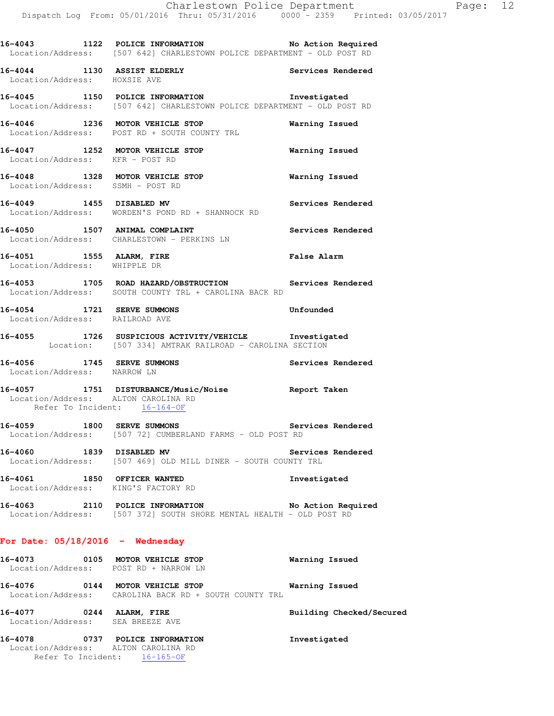**16-4043 1122 POLICE INFORMATION No Action Required**  Location/Address: [507 642] CHARLESTOWN POLICE DEPARTMENT - OLD POST RD

**16-4044 1130 ASSIST ELDERLY Services Rendered**  Location/Address: HOXSIE AVE

**16-4045 1150 POLICE INFORMATION Investigated**  Location/Address: [507 642] CHARLESTOWN POLICE DEPARTMENT - OLD POST RD

**16-4046 1236 MOTOR VEHICLE STOP Warning Issued**  Location/Address: POST RD + SOUTH COUNTY TRL

**16-4047 1252 MOTOR VEHICLE STOP Warning Issued**  Location/Address: KFR - POST RD

**16-4048 1328 MOTOR VEHICLE STOP Warning Issued**  Location/Address: SSMH - POST RD

**16-4049 1455 DISABLED MV Services Rendered**  Location/Address: WORDEN'S POND RD + SHANNOCK RD

16-4050 1507 ANIMAL COMPLAINT **16-4050** Services Rendered Location/Address: CHARLESTOWN - PERKINS LN

**16-4051 1555 ALARM, FIRE False Alarm**  Location/Address: WHIPPLE DR

**16-4053 1705 ROAD HAZARD/OBSTRUCTION Services Rendered**  Location/Address: SOUTH COUNTY TRL + CAROLINA BACK RD

**16-4054 1721 SERVE SUMMONS Unfounded**  Location/Address: RAILROAD AVE

**16-4055 1726 SUSPICIOUS ACTIVITY/VEHICLE Investigated**  Location: [507 334] AMTRAK RAILROAD - CAROLINA SECTION

**16-4056 1745 SERVE SUMMONS Services Rendered**  Location/Address: NARROW LN

**16-4057 1751 DISTURBANCE/Music/Noise Report Taken**  Location/Address: ALTON CAROLINA RD Refer To Incident: 16-164-OF

**16-4059 1800 SERVE SUMMONS Services Rendered**  Location/Address: [507 72] CUMBERLAND FARMS - OLD POST RD

**16-4060 1839 DISABLED MV Services Rendered**  Location/Address: [507 469] OLD MILL DINER - SOUTH COUNTY TRL

**16-4061 1850 OFFICER WANTED Investigated**  Location/Address: KING'S FACTORY RD

**16-4063 2110 POLICE INFORMATION No Action Required**  Location/Address: [507 372] SOUTH SHORE MENTAL HEALTH - OLD POST RD

### **For Date: 05/18/2016 - Wednesday**

 Location/Address: ALTON CAROLINA RD Refer To Incident: 16-165-OF

| 16-4073 | 0105 | MOTOR VEHICLE STOP<br>Location/Address: POST RD + NARROW LN                 | Warning Issued |                          |
|---------|------|-----------------------------------------------------------------------------|----------------|--------------------------|
| 16-4076 | 0144 | MOTOR VEHICLE STOP<br>Location/Address: CAROLINA BACK RD + SOUTH COUNTY TRL | Warning Issued |                          |
| 16-4077 | 0244 | ALARM, FIRE<br>Location/Address: SEA BREEZE AVE                             |                | Building Checked/Secured |
| 16-4078 | 0737 | POLICE INFORMATION                                                          | Investigated   |                          |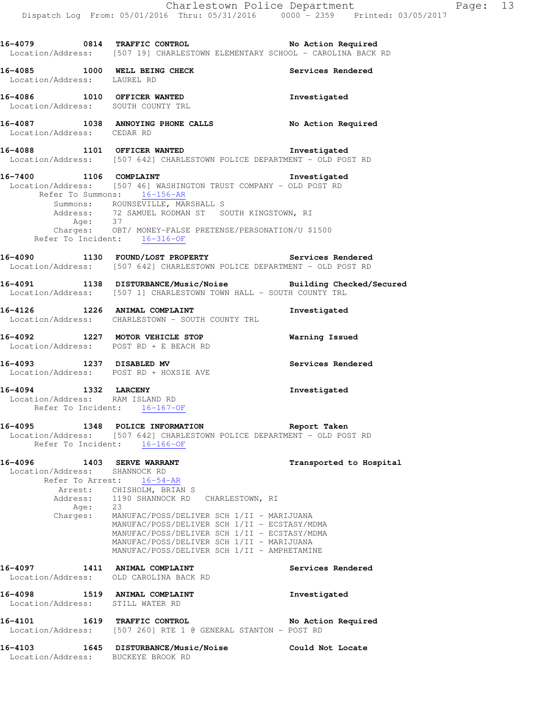**16-4079 0814 TRAFFIC CONTROL No Action Required**  Location/Address: [507 19] CHARLESTOWN ELEMENTARY SCHOOL - CAROLINA BACK RD **16-4085 1000 WELL BEING CHECK Services Rendered**  Location/Address: LAUREL RD **16-4086 1010 OFFICER WANTED Investigated**  Location/Address: SOUTH COUNTY TRL **16-4087 1038 ANNOYING PHONE CALLS No Action Required**  Location/Address: CEDAR RD **16-4088 1101 OFFICER WANTED Investigated**  Location/Address: [507 642] CHARLESTOWN POLICE DEPARTMENT - OLD POST RD **16-7400 1106 COMPLAINT Investigated**  Location/Address: [507 46] WASHINGTON TRUST COMPANY - OLD POST RD Refer To Summons: 16-156-AR Summons: ROUNSEVILLE, MARSHALL S Address: 72 SAMUEL RODMAN ST SOUTH KINGSTOWN, RI Age: 37 Charges: OBT/ MONEY-FALSE PRETENSE/PERSONATION/U \$1500 Refer To Incident: 16-316-OF **16-4090 1130 FOUND/LOST PROPERTY Services Rendered**  Location/Address: [507 642] CHARLESTOWN POLICE DEPARTMENT - OLD POST RD **16-4091 1138 DISTURBANCE/Music/Noise Building Checked/Secured**  Location/Address: [507 1] CHARLESTOWN TOWN HALL - SOUTH COUNTY TRL 16-4126 1226 ANIMAL COMPLAINT **Investigated**  Location/Address: CHARLESTOWN - SOUTH COUNTY TRL **16-4092 1227 MOTOR VEHICLE STOP Warning Issued**  Location/Address: POST RD + E BEACH RD **16-4093 1237 DISABLED MV Services Rendered**  Location/Address: POST RD + HOXSIE AVE **16-4094 1332 LARCENY Investigated**  Location/Address: RAM ISLAND RD Refer To Incident: 16-167-OF **16-4095 1348 POLICE INFORMATION Report Taken**  Location/Address: [507 642] CHARLESTOWN POLICE DEPARTMENT - OLD POST RD Refer To Incident: 16-166-OF **16-4096 1403 SERVE WARRANT Transported to Hospital**  Location/Address: SHANNOCK RD Refer To Arrest: 16-54-AR Arrest: CHISHOLM, BRIAN S Address: 1190 SHANNOCK RD CHARLESTOWN, RI Age: 23<br>Charges: MAI MANUFAC/POSS/DELIVER SCH 1/II - MARIJUANA MANUFAC/POSS/DELIVER SCH 1/II - ECSTASY/MDMA MANUFAC/POSS/DELIVER SCH 1/II - ECSTASY/MDMA MANUFAC/POSS/DELIVER SCH 1/II - MARIJUANA MANUFAC/POSS/DELIVER SCH 1/II - AMPHETAMINE **16-4097 1411 ANIMAL COMPLAINT Services Rendered**  Location/Address: OLD CAROLINA BACK RD **16-4098 1519 ANIMAL COMPLAINT Investigated**  Location/Address: STILL WATER RD **16-4101 1619 TRAFFIC CONTROL No Action Required**  Location/Address: [507 260] RTE 1 @ GENERAL STANTON - POST RD **16-4103 1645 DISTURBANCE/Music/Noise Could Not Locate**  Location/Address: BUCKEYE BROOK RD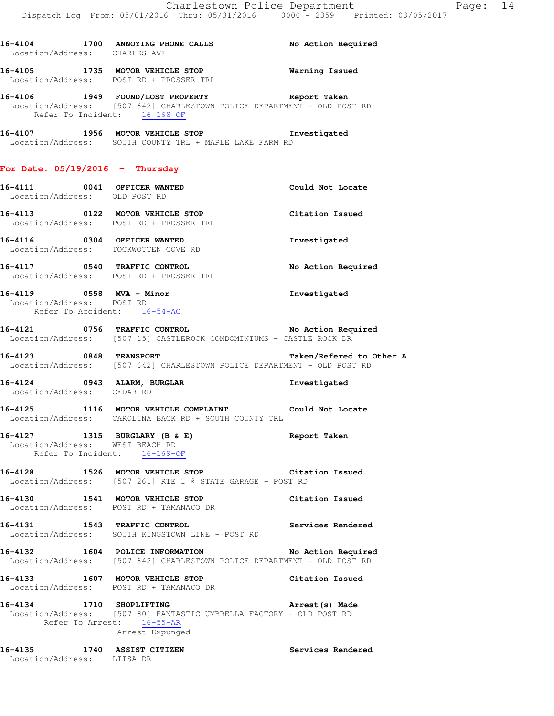| Location/Address: CHARLES AVE                                                        | 16-4104 1700 ANNOYING PHONE CALLS No Action Required                                                                                                         |                    |
|--------------------------------------------------------------------------------------|--------------------------------------------------------------------------------------------------------------------------------------------------------------|--------------------|
|                                                                                      | 16-4105 1735 MOTOR VEHICLE STOP 6 Warning Issued<br>Location/Address: POST RD + PROSSER TRL                                                                  |                    |
|                                                                                      | 16-4106 1949 FOUND/LOST PROPERTY The Report Taken<br>Location/Address: [507 642] CHARLESTOWN POLICE DEPARTMENT - OLD POST RD<br>Refer To Incident: 16-168-OF |                    |
|                                                                                      | 16-4107 1956 MOTOR VEHICLE STOP <b>Investigated</b><br>Location/Address: SOUTH COUNTY TRL + MAPLE LAKE FARM RD                                               |                    |
| For Date: $05/19/2016$ - Thursday                                                    |                                                                                                                                                              |                    |
|                                                                                      | 16-4111 0041 OFFICER WANTED<br>Location/Address: OLD POST RD                                                                                                 | Could Not Locate   |
|                                                                                      | 16-4113 0122 MOTOR VEHICLE STOP<br>Location/Address: POST RD + PROSSER TRL                                                                                   | Citation Issued    |
|                                                                                      | 16-4116 0304 OFFICER WANTED<br>Location/Address: TOCKWOTTEN COVE RD                                                                                          | Investigated       |
|                                                                                      | 16-4117 0540 TRAFFIC CONTROL<br>Location/Address: POST RD + PROSSER TRL                                                                                      | No Action Required |
| 16-4119 0558 MVA - Minor<br>Location/Address: POST RD<br>Refer To Accident: 16-54-AC |                                                                                                                                                              | Investigated       |
|                                                                                      | 16-4121 0756 TRAFFIC CONTROL 2000 No Action Required<br>Location/Address: [507 15] CASTLEROCK CONDOMINIUMS - CASTLE ROCK DR                                  |                    |
|                                                                                      | 16-4123 0848 TRANSPORT 16-4123<br>Location/Address: [507 642] CHARLESTOWN POLICE DEPARTMENT - OLD POST RD                                                    |                    |
|                                                                                      | 16-4124 0943 ALARM, BURGLAR<br>Location/Address: CEDAR RD                                                                                                    | Investigated       |
|                                                                                      | 16-4125 1116 MOTOR VEHICLE COMPLAINT Could Not Locate<br>Location/Address: CAROLINA BACK RD + SOUTH COUNTY TRL                                               |                    |
|                                                                                      | 16-4127 1315 BURGLARY (B & E)<br>Location/Address: WEST BEACH RD<br>Refer To Incident: 16-169-OF                                                             | Report Taken       |
|                                                                                      | 16-4128 1526 MOTOR VEHICLE STOP 6 Citation Issued<br>Location/Address: [507 261] RTE 1 @ STATE GARAGE - POST RD                                              |                    |
|                                                                                      | 16-4130 1541 MOTOR VEHICLE STOP<br>Location/Address: POST RD + TAMANACO DR                                                                                   | Citation Issued    |
|                                                                                      | 16-4131 1543 TRAFFIC CONTROL 1543 Services Rendered<br>Location/Address: SOUTH KINGSTOWN LINE - POST RD                                                      |                    |
|                                                                                      | 16-4132 1604 POLICE INFORMATION<br>Location/Address: [507 642] CHARLESTOWN POLICE DEPARTMENT - OLD POST RD                                                   | No Action Required |
|                                                                                      | 16-4133 1607 MOTOR VEHICLE STOP 16-4133<br>Location/Address: POST RD + TAMANACO DR                                                                           |                    |
| 16-4134 1710 SHOPLIFTING                                                             | Location/Address: [507 80] FANTASTIC UMBRELLA FACTORY - OLD POST RD<br>Refer To Arrest: 16-55-AR<br>Arrest Expunged                                          | Arrest(s) Made     |
| Location/Address: LIISA DR                                                           | 16-4135 1740 ASSIST CITIZEN                                                                                                                                  | Services Rendered  |
|                                                                                      |                                                                                                                                                              |                    |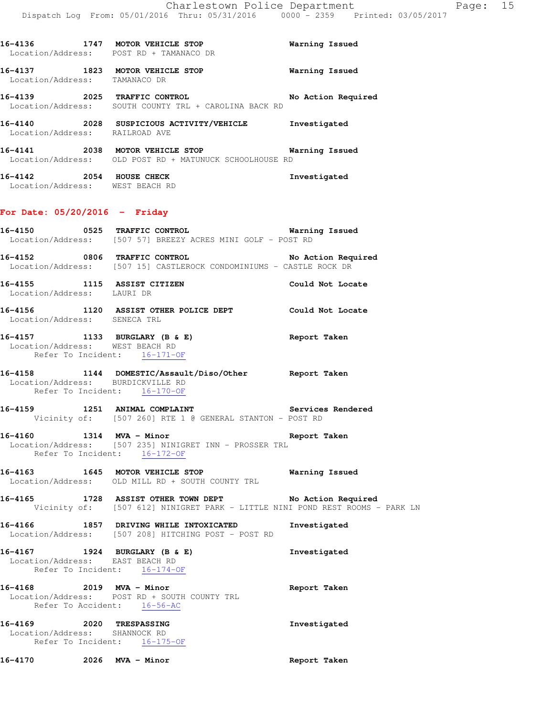| 16-4136<br>Location/Address: | 1747 | MOTOR VEHICLE STOP<br>POST RD + TAMANACO DR                 | Warning Issued     |
|------------------------------|------|-------------------------------------------------------------|--------------------|
| 16-4137<br>Location/Address: | 1823 | MOTOR VEHICLE STOP<br>TAMANACO DR                           | Warning Issued     |
| 16-4139<br>Location/Address: | 2025 | TRAFFIC CONTROL<br>SOUTH COUNTY TRL + CAROLINA BACK RD      | No Action Required |
| 16-4140<br>Location/Address: | 2028 | SUSPICIOUS ACTIVITY/VEHICLE<br>RAILROAD AVE                 | Investigated       |
| 16-4141<br>Location/Address: | 2038 | MOTOR VEHICLE STOP<br>OLD POST RD + MATUNUCK SCHOOLHOUSE RD | Warning Issued     |
| 16-4142<br>Location/Address: | 2054 | HOUSE CHECK<br>WEST BEACH RD                                | Investigated       |

# **For Date: 05/20/2016 - Friday**

|                                                           | Location/Address: [507 57] BREEZY ACRES MINI GOLF - POST RD                                                                            |              |
|-----------------------------------------------------------|----------------------------------------------------------------------------------------------------------------------------------------|--------------|
|                                                           | 16-4152 0806 TRAFFIC CONTROL No Action Required<br>Location/Address: [507 15] CASTLEROCK CONDOMINIUMS - CASTLE ROCK DR                 |              |
| Location/Address: LAURI DR                                | 16-4155 1115 ASSIST CITIZEN Could Not Locate                                                                                           |              |
|                                                           | 16-4156 1120 ASSIST OTHER POLICE DEPT Could Not Locate Location/Address: SENECA TRL                                                    |              |
| Location/Address: WEST BEACH RD                           | 16-4157 1133 BURGLARY (B & E)<br>Refer To Incident: 16-171-OF                                                                          | Report Taken |
| Refer To Incident: 16-170-OF                              | 16-4158   1144   DOMESTIC/Assault/Diso/Other   Report Taken   Location/Address:   BURDICKVILLE RD                                      |              |
|                                                           | 16-4159 1251 ANIMAL COMPLAINT Services Rendered<br>Vicinity of: [507 260] RTE 1 @ GENERAL STANTON - POST RD                            |              |
| Refer To Incident: 16-172-OF                              | 16-4160 1314 MVA - Minor 120 16-4160<br>Location/Address: [507 235] NINIGRET INN - PROSSER TRL                                         |              |
|                                                           | 16-4163 1645 MOTOR VEHICLE STOP 16-4163<br>Location/Address: OLD MILL RD + SOUTH COUNTY TRL                                            |              |
|                                                           | 16-4165 1728 ASSIST OTHER TOWN DEPT No Action Required<br>Vicinity of: [507 612] NINIGRET PARK - LITTLE NINI POND REST ROOMS - PARK LN |              |
|                                                           | 16-4166 1857 DRIVING WHILE INTOXICATED Investigated<br>Location/Address: [507 208] HITCHING POST - POST RD                             |              |
| 16-4167 1924 BURGLARY (B & E)                             | Location/Address: EAST BEACH RD<br>Refer To Incide:<br>Refer To Incident: 16-174-OF                                                    | Investigated |
| Refer To Accident: 16-56-AC                               | 16-4168 2019 MVA - Minor<br>Location/Address: POST RD + SOUTH COUNTY TRL                                                               | Report Taken |
| 16-4169 2020 TRESPASSING<br>Location/Address: SHANNOCK RD | Refer To Incident: 16-175-OF                                                                                                           | Investigated |

**16-4170 2026 MVA - Minor Report Taken**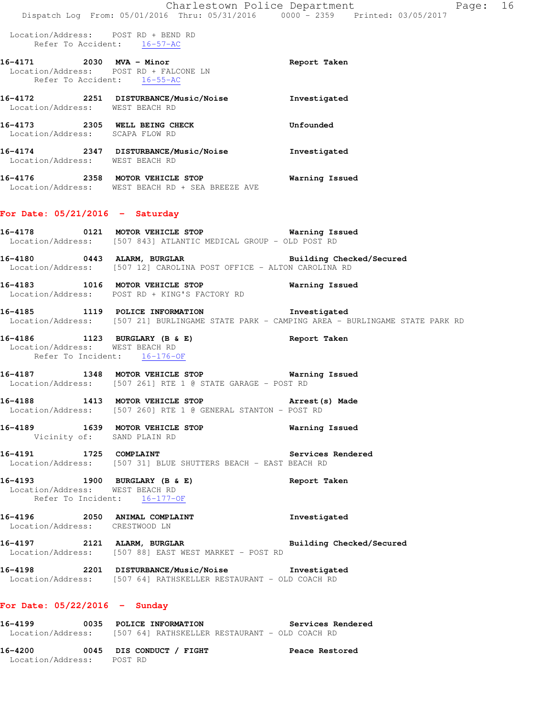| 16-4171<br>Refer To Accident: |      | $2030$ MVA - Minor<br>Location/Address: POST RD + FALCONE LN<br>$16 - 55 - AC$ | Report Taken |
|-------------------------------|------|--------------------------------------------------------------------------------|--------------|
| 16-4172<br>Location/Address:  | 2251 | DISTURBANCE/Music/Noise<br>WEST BEACH RD                                       | Investigated |
| 16-4173<br>Location/Address:  | 2305 | WELL BEING CHECK<br>SCAPA FLOW RD                                              | Unfounded    |
| 16-4174<br>Location/Address:  | 2347 | DISTURBANCE/Music/Noise<br>WEST BEACH RD                                       | Investigated |

**16-4176 2358 MOTOR VEHICLE STOP Warning Issued**  Location/Address: WEST BEACH RD + SEA BREEZE AVE

#### **For Date: 05/21/2016 - Saturday**

- **16-4178 0121 MOTOR VEHICLE STOP Warning Issued**  Location/Address: [507 843] ATLANTIC MEDICAL GROUP - OLD POST RD
- **16-4180 0443 ALARM, BURGLAR Building Checked/Secured**  Location/Address: [507 12] CAROLINA POST OFFICE - ALTON CAROLINA RD
- **16-4183 1016 MOTOR VEHICLE STOP Warning Issued**  Location/Address: POST RD + KING'S FACTORY RD
- **16-4185 1119 POLICE INFORMATION Investigated**  Location/Address: [507 21] BURLINGAME STATE PARK - CAMPING AREA - BURLINGAME STATE PARK RD
- **16-4186 1123 BURGLARY (B & E) Report Taken**  Location/Address: WEST BEACH RD Refer To Incident: 16-176-OF
- **16-4187 1348 MOTOR VEHICLE STOP Warning Issued**  Location/Address: [507 261] RTE 1 @ STATE GARAGE - POST RD
- **16-4188 1413 MOTOR VEHICLE STOP Arrest(s) Made**  Location/Address: [507 260] RTE 1 @ GENERAL STANTON - POST RD
- **16-4189 1639 MOTOR VEHICLE STOP Warning Issued**  Vicinity of: SAND PLAIN RD
- 16-4191 1725 COMPLAINT **16-4191** Services Rendered Location/Address: [507 31] BLUE SHUTTERS BEACH - EAST BEACH RD
- **16-4193 1900 BURGLARY (B & E) Report Taken**  Location/Address: WEST BEACH RD Refer To Incident: 16-177-OF
- **16-4196 2050 ANIMAL COMPLAINT Investigated**  Location/Address: CRESTWOOD LN
- **16-4197 2121 ALARM, BURGLAR Building Checked/Secured**  Location/Address: [507 88] EAST WEST MARKET - POST RD
- **16-4198 2201 DISTURBANCE/Music/Noise Investigated**  Location/Address: [507 64] RATHSKELLER RESTAURANT - OLD COACH RD

#### **For Date: 05/22/2016 - Sunday**

- **16-4199 0035 POLICE INFORMATION Services Rendered**  Location/Address: [507 64] RATHSKELLER RESTAURANT - OLD COACH RD
- **16-4200 0045 DIS CONDUCT / FIGHT Peace Restored**  Location/Address: POST RD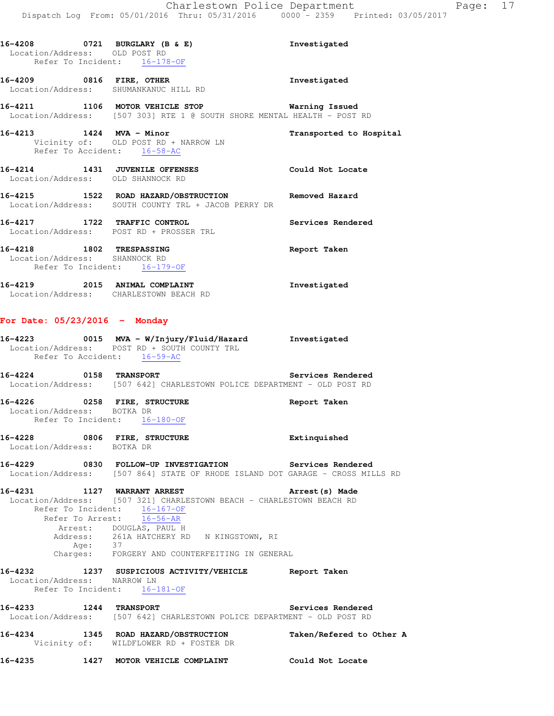**16-4208 0721 BURGLARY (B & E) Investigated**  Location/Address: OLD POST RD Refer To Incident: 16-178-OF

**16-4209 0816 FIRE, OTHER Investigated**  Location/Address: SHUMANKANUC HILL RD

**16-4211 1106 MOTOR VEHICLE STOP Warning Issued**  Location/Address: [507 303] RTE 1 @ SOUTH SHORE MENTAL HEALTH - POST RD

**16-4213 1424 MVA - Minor Transported to Hospital**  Vicinity of: OLD POST RD + NARROW LN Refer To Accident: 16-58-AC

**16-4214 1431 JUVENILE OFFENSES Could Not Locate**  Location/Address: OLD SHANNOCK RD

**16-4215 1522 ROAD HAZARD/OBSTRUCTION Removed Hazard**  Location/Address: SOUTH COUNTY TRL + JACOB PERRY DR

**16-4217 1722 TRAFFIC CONTROL Services Rendered**  Location/Address: POST RD + PROSSER TRL

**16-4218 1802 TRESPASSING Report Taken**  Location/Address: SHANNOCK RD Refer To Incident: 16-179-OF

**16-4219 2015 ANIMAL COMPLAINT Investigated**  Location/Address: CHARLESTOWN BEACH RD

#### **For Date: 05/23/2016 - Monday**

**16-4223 0015 MVA - W/Injury/Fluid/Hazard Investigated**  Location/Address: POST RD + SOUTH COUNTY TRL Refer To Accident: 16-59-AC

**16-4224 0158 TRANSPORT Services Rendered**  Location/Address: [507 642] CHARLESTOWN POLICE DEPARTMENT - OLD POST RD

**16-4226 0258 FIRE, STRUCTURE Report Taken**  Location/Address: BOTKA DR Refer To Incident: 16-180-OF

**16-4228 0806 FIRE, STRUCTURE Extinquished**  Location/Address: BOTKA DR

**16-4229 0830 FOLLOW-UP INVESTIGATION Services Rendered**  Location/Address: [507 864] STATE OF RHODE ISLAND DOT GARAGE - CROSS MILLS RD

**16-4231 1127 WARRANT ARREST Arrest(s) Made**  Location/Address: [507 321] CHARLESTOWN BEACH - CHARLESTOWN BEACH RD Refer To Incident: 16-167-OF Refer To Arrest: 16-56-AR Arrest: DOUGLAS, PAUL H Address: 261A HATCHERY RD N KINGSTOWN, RI Age: 37 Charges: FORGERY AND COUNTERFEITING IN GENERAL

**16-4232 1237 SUSPICIOUS ACTIVITY/VEHICLE Report Taken**  Location/Address: NARROW LN Refer To Incident: 16-181-OF

**16-4233 1244 TRANSPORT Services Rendered**  Location/Address: [507 642] CHARLESTOWN POLICE DEPARTMENT - OLD POST RD

**16-4234 1345 ROAD HAZARD/OBSTRUCTION Taken/Refered to Other A**  Vicinity of: WILDFLOWER RD + FOSTER DR

**16-4235 1427 MOTOR VEHICLE COMPLAINT Could Not Locate**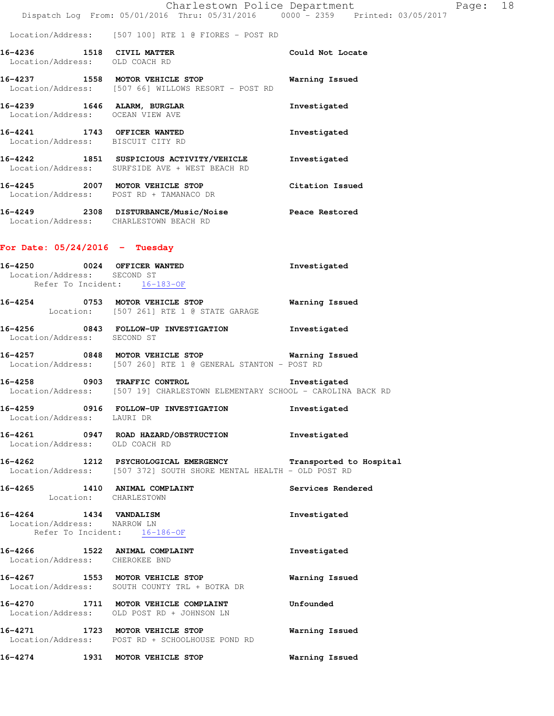|  |                                                | Charlestown Police Department |  |                                 | Page: 18 |  |
|--|------------------------------------------------|-------------------------------|--|---------------------------------|----------|--|
|  | Dispatch Log From: 05/01/2016 Thru: 05/31/2016 |                               |  | 0000 - 2359 Printed: 03/05/2017 |          |  |

Location/Address: [507 100] RTE 1 @ FIORES - POST RD

**16-4236 1518 CIVIL MATTER Could Not Locate**  Location/Address: OLD COACH RD

**16-4237 1558 MOTOR VEHICLE STOP Warning Issued**  Location/Address: [507 66] WILLOWS RESORT - POST RD **16-4239 1646 ALARM, BURGLAR Investigated** 

 Location/Address: OCEAN VIEW AVE **16-4241 1743 OFFICER WANTED Investigated**  Location/Address: BISCUIT CITY RD **16-4242 1851 SUSPICIOUS ACTIVITY/VEHICLE Investigated** 

 Location/Address: SURFSIDE AVE + WEST BEACH RD **16-4245 2007 MOTOR VEHICLE STOP Citation Issued**  Location/Address: POST RD + TAMANACO DR

**16-4249 2308 DISTURBANCE/Music/Noise Peace Restored**  Location/Address: CHARLESTOWN BEACH RD

#### **For Date: 05/24/2016 - Tuesday**

| 16-4250 0024 OFFICER WANTED<br>Location/Address: SECOND ST<br>Refer To Incident: 16-183-OF |                                                                                                                                     | Investigated          |
|--------------------------------------------------------------------------------------------|-------------------------------------------------------------------------------------------------------------------------------------|-----------------------|
|                                                                                            | 16-4254 0753 MOTOR VEHICLE STOP<br>Location: [507 261] RTE 1 @ STATE GARAGE                                                         | <b>Warning Issued</b> |
|                                                                                            | 16-4256 0843 FOLLOW-UP INVESTIGATION Investigated<br>Location/Address: SECOND ST                                                    |                       |
|                                                                                            | 16-4257 0848 MOTOR VEHICLE STOP Warning<br>Location/Address: [507 260] RTE 1 @ GENERAL STANTON - POST RD                            | <b>Warning Issued</b> |
|                                                                                            | 16-4258 0903 TRAFFIC CONTROL 16-4258 Investigated<br>Location/Address: [507 19] CHARLESTOWN ELEMENTARY SCHOOL - CAROLINA BACK RD    |                       |
| Location/Address: LAURI DR                                                                 | 16-4259 0916 FOLLOW-UP INVESTIGATION                                                                                                | Investigated          |
| Location/Address: OLD COACH RD                                                             | 16-4261 0947 ROAD HAZARD/OBSTRUCTION Investigated                                                                                   |                       |
|                                                                                            | 16-4262 1212 PSYCHOLOGICAL EMERGENCY Transported to Hospital<br>Location/Address: [507 372] SOUTH SHORE MENTAL HEALTH - OLD POST RD |                       |
|                                                                                            | 16-4265<br>Location: CHARLESTOWN <b>Example 2018</b><br>Location: CHARLESTOWN                                                       |                       |
| 16-4264 1434 VANDALISM<br>Location/Address: NARROW LN<br>Refer To Incident: 16-186-OF      |                                                                                                                                     | Investigated          |
| 16-4266 1522 ANIMAL COMPLAINT<br>Location/Address: CHEROKEE BND                            |                                                                                                                                     | Investigated          |
|                                                                                            | 16-4267 1553 MOTOR VEHICLE STOP<br>Location/Address: SOUTH COUNTY TRL + BOTKA DR                                                    | <b>Warning Issued</b> |
|                                                                                            | 16-4270 1711 MOTOR VEHICLE COMPLAINT Unfounded<br>Location/Address: OLD POST RD + JOHNSON LN                                        |                       |
|                                                                                            | 16-4271 1723 MOTOR VEHICLE STOP<br>Location/Address: POST RD + SCHOOLHOUSE POND RD                                                  | <b>Warning Issued</b> |
| 16-4274 1931 MOTOR VEHICLE STOP                                                            |                                                                                                                                     | Warning Issued        |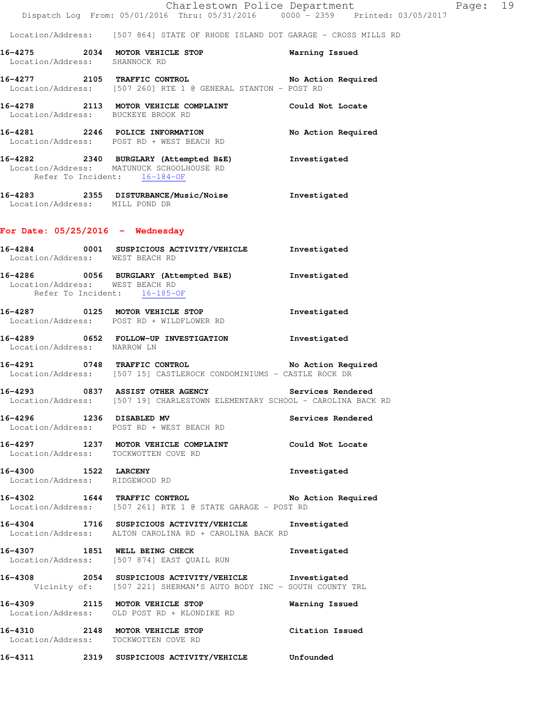|                                                |  |  | Charlestown Police Department   |  | Page: 19 |  |
|------------------------------------------------|--|--|---------------------------------|--|----------|--|
| Dispatch Log From: 05/01/2016 Thru: 05/31/2016 |  |  | 0000 - 2359 Printed: 03/05/2017 |  |          |  |

Location/Address: [507 864] STATE OF RHODE ISLAND DOT GARAGE - CROSS MILLS RD

**16-4275 2034 MOTOR VEHICLE STOP Warning Issued**  Location/Address: SHANNOCK RD

**16-4277 2105 TRAFFIC CONTROL No Action Required**  Location/Address: [507 260] RTE 1 @ GENERAL STANTON - POST RD

**16-4278 2113 MOTOR VEHICLE COMPLAINT Could Not Locate**  Location/Address: BUCKEYE BROOK RD

**16-4281 2246 POLICE INFORMATION No Action Required**  Location/Address: POST RD + WEST BEACH RD

**16-4282 2340 BURGLARY (Attempted B&E) Investigated**  Location/Address: MATUNUCK SCHOOLHOUSE RD Refer To Incident: 16-184-OF

**16-4283 2355 DISTURBANCE/Music/Noise Investigated**  Location/Address: MILL POND DR

#### **For Date: 05/25/2016 - Wednesday**

- **16-4284 0001 SUSPICIOUS ACTIVITY/VEHICLE Investigated**  Location/Address: WEST BEACH RD **16-4286 0056 BURGLARY (Attempted B&E) Investigated**  Location/Address: WEST BEACH RD Refer To Incident: 16-185-OF
- **16-4287 0125 MOTOR VEHICLE STOP Investigated**  Location/Address: POST RD + WILDFLOWER RD
- **16-4289 0652 FOLLOW-UP INVESTIGATION Investigated**  Location/Address: NARROW LN

**16-4291 0748 TRAFFIC CONTROL No Action Required**  Location/Address: [507 15] CASTLEROCK CONDOMINIUMS - CASTLE ROCK DR

**16-4293 0837 ASSIST OTHER AGENCY Services Rendered**  Location/Address: [507 19] CHARLESTOWN ELEMENTARY SCHOOL - CAROLINA BACK RD

**16-4296 1236 DISABLED MV Services Rendered**  Location/Address: POST RD + WEST BEACH RD

**16-4297 1237 MOTOR VEHICLE COMPLAINT Could Not Locate**  Location/Address: TOCKWOTTEN COVE RD

**16-4300 1522 LARCENY Investigated**  Location/Address: RIDGEWOOD RD

**16-4302 1644 TRAFFIC CONTROL No Action Required**  Location/Address: [507 261] RTE 1 @ STATE GARAGE - POST RD

**16-4304 1716 SUSPICIOUS ACTIVITY/VEHICLE Investigated**  Location/Address: ALTON CAROLINA RD + CAROLINA BACK RD

**16-4307 1851 WELL BEING CHECK Investigated**  Location/Address: [507 874] EAST QUAIL RUN

**16-4308 2054 SUSPICIOUS ACTIVITY/VEHICLE Investigated**  Vicinity of: [507 221] SHERMAN'S AUTO BODY INC - SOUTH COUNTY TRL

**16-4309 2115 MOTOR VEHICLE STOP Warning Issued**  Location/Address: OLD POST RD + KLONDIKE RD

**16-4310 2148 MOTOR VEHICLE STOP Citation Issued**  Location/Address: TOCKWOTTEN COVE RD

**16-4311 2319 SUSPICIOUS ACTIVITY/VEHICLE Unfounded**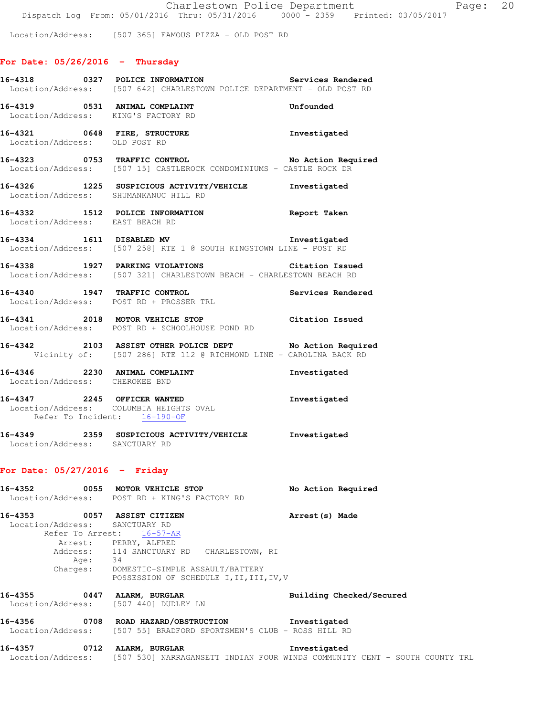Location/Address: [507 365] FAMOUS PIZZA - OLD POST RD

# **For Date: 05/26/2016 - Thursday**

|                                                                                   | 16-4318 0327 POLICE INFORMATION<br>Location/Address: [507 642] CHARLESTOWN POLICE DEPARTMENT - OLD POST RD                                                                        | Services Rendered                                                                                            |
|-----------------------------------------------------------------------------------|-----------------------------------------------------------------------------------------------------------------------------------------------------------------------------------|--------------------------------------------------------------------------------------------------------------|
|                                                                                   | 16-4319 0531 ANIMAL COMPLAINT<br>Unfounded<br>Location/Address: KING'S FACTORY RD                                                                                                 |                                                                                                              |
| Location/Address: OLD POST RD                                                     | 16-4321 0648 FIRE, STRUCTURE 10 Investigated                                                                                                                                      |                                                                                                              |
|                                                                                   | 16-4323 0753 TRAFFIC CONTROL No Action Required<br>Location/Address: [507 15] CASTLEROCK CONDOMINIUMS - CASTLE ROCK DR                                                            |                                                                                                              |
|                                                                                   | 16-4326 1225 SUSPICIOUS ACTIVITY/VEHICLE Investigated<br>Location/Address: SHUMANKANUC HILL RD                                                                                    |                                                                                                              |
| Location/Address: EAST BEACH RD                                                   | 16-4332 1512 POLICE INFORMATION Report Taken                                                                                                                                      |                                                                                                              |
|                                                                                   | 16-4334 1611 DISABLED MV 100 1nvestigated<br>Location/Address: [507 258] RTE 1 @ SOUTH KINGSTOWN LINE - POST RD                                                                   |                                                                                                              |
|                                                                                   | 16-4338 1927 PARKING VIOLATIONS Citation Issued<br>Location/Address: [507 321] CHARLESTOWN BEACH - CHARLESTOWN BEACH RD                                                           |                                                                                                              |
|                                                                                   | 16-4340 1947 TRAFFIC CONTROL 1999 Services Rendered<br>Location/Address: POST RD + PROSSER TRL                                                                                    |                                                                                                              |
|                                                                                   | 16-4341 2018 MOTOR VEHICLE STOP Citation Issued<br>Location/Address: POST RD + SCHOOLHOUSE POND RD                                                                                |                                                                                                              |
|                                                                                   | 16-4342 2103 ASSIST OTHER POLICE DEPT No Action Required<br>Vicinity of: [507 286] RTE 112 @ RICHMOND LINE - CAROLINA BACK RD                                                     |                                                                                                              |
| Location/Address: CHEROKEE BND                                                    | 16-4346 2230 ANIMAL COMPLAINT                                                                                                                                                     | Investigated                                                                                                 |
| Refer To Incident: 16-190-OF                                                      | 16-4347 2245 OFFICER WANTED<br>Location/Address: COLUMBIA HEIGHTS OVAL                                                                                                            | Investigated                                                                                                 |
| Location/Address: SANCTUARY RD                                                    | 16-4349 2359 SUSPICIOUS ACTIVITY/VEHICLE Investigated                                                                                                                             |                                                                                                              |
| For Date: $05/27/2016$ - Friday                                                   |                                                                                                                                                                                   |                                                                                                              |
|                                                                                   | 16-4352 0055 MOTOR VEHICLE STOP<br>Location/Address: POST RD + KING'S FACTORY RD                                                                                                  | No Action Required                                                                                           |
| 16-4353 0057 ASSIST CITIZEN<br>Location/Address: SANCTUARY RD<br>Refer To Arrest: | 16-57-AR<br>Arrest: PERRY, ALFRED<br>Address: 114 SANCTUARY RD CHARLESTOWN, RI<br>Age: 34<br>Charges: DOMESTIC-SIMPLE ASSAULT/BATTERY<br>POSSESSION OF SCHEDULE I, II, III, IV, V | Arrest (s) Made                                                                                              |
| 16-4355                                                                           | 0447 ALARM, BURGLAR<br>Location/Address: [507 440] DUDLEY LN                                                                                                                      | Building Checked/Secured                                                                                     |
| 16-4356                                                                           | 0708 ROAD HAZARD/OBSTRUCTION Thvestigated<br>Location/Address: [507 55] BRADFORD SPORTSMEN'S CLUB - ROSS HILL RD                                                                  |                                                                                                              |
| 16–4357                                                                           | 0712 ALARM, BURGLAR                                                                                                                                                               | Investigated<br>Location/Address: [507 530] NARRAGANSETT INDIAN FOUR WINDS COMMUNITY CENT - SOUTH COUNTY TRL |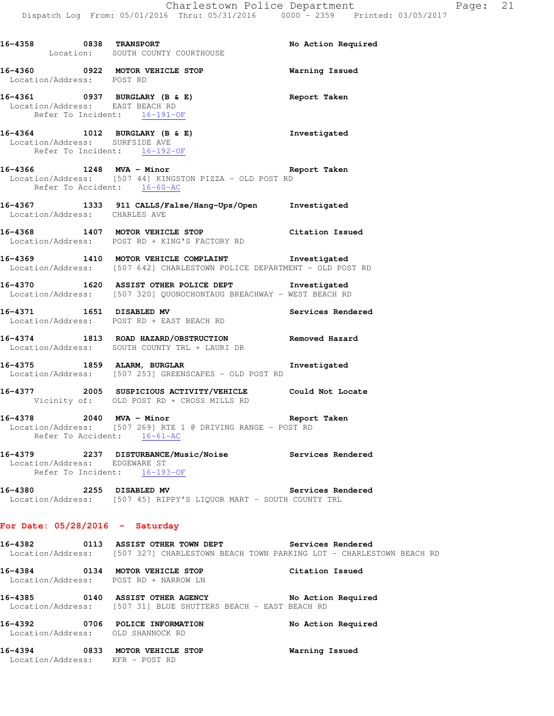|                               | 16-4358 0838 TRANSPORT<br>Location: SOUTH COUNTY COURTHOUSE                                                                                     | No Action Required |
|-------------------------------|-------------------------------------------------------------------------------------------------------------------------------------------------|--------------------|
| Location/Address: POST RD     | 16-4360 0922 MOTOR VEHICLE STOP 6 Warning Issued                                                                                                |                    |
|                               | 16-4361 0937 BURGLARY (B & E) Report Taken<br>Location/Address: EAST BEACH RD<br>Refer To Incident: 16-191-OF                                   |                    |
|                               | 16-4364 1012 BURGLARY (B & E)<br>Location/Address: SURFSIDE AVE<br>Refer To Incident: 16-192-OF                                                 | Investigated       |
|                               | 16-4366 1248 MVA - Minor Report Taken<br>Location/Address: [507 44] KINGSTON PIZZA - OLD POST RD<br>Refer To Accident: 16-60-AC                 |                    |
| Location/Address: CHARLES AVE | 16-4367 1333 911 CALLS/False/Hang-Ups/Open Investigated                                                                                         |                    |
|                               | 16-4368 1407 MOTOR VEHICLE STOP Citation Issued<br>Location/Address: POST RD + KING'S FACTORY RD                                                |                    |
|                               | 16-4369 1410 MOTOR VEHICLE COMPLAINT 1nvestigated<br>Location/Address: [507 642] CHARLESTOWN POLICE DEPARTMENT - OLD POST RD                    |                    |
|                               | 16-4370 1620 ASSIST OTHER POLICE DEPT 1nvestigated<br>Location/Address: [507 320] QUONOCHONTAUG BREACHWAY - WEST BEACH RD                       |                    |
|                               | 16-4371 1651 DISABLED MV Services Rendered<br>Location/Address: POST RD + EAST BEACH RD                                                         |                    |
|                               | 16-4374 1813 ROAD HAZARD/OBSTRUCTION Removed Hazard Location/Address: SOUTH COUNTY TRL + LAURI DR                                               |                    |
|                               | 16-4375 1859 ALARM, BURGLAR Investigated<br>Location/Address: [507 253] GREENSCAPES - OLD POST RD                                               |                    |
|                               | 16-4377 2005 SUSPICIOUS ACTIVITY/VEHICLE Could Not Locate<br>Vicinity of: OLD POST RD + CROSS MILLS RD                                          |                    |
|                               | 16-4378 2040 MVA - Minor Number 2010 Report Taken<br>Location/Address: [507 269] RTE 1 @ DRIVING RANGE - POST RD<br>Refer To Accident: 16-61-AC |                    |
| Location/Address: EDGEWARE ST | 16-4379 2237 DISTURBANCE/Music/Noise Services Rendered<br>Refer To Incident: 16-193-OF                                                          |                    |
|                               | 16-4380 2255 DISABLED MV<br>Location/Address: [507 45] RIPPY'S LIQUOR MART - SOUTH COUNTY TRL                                                   | Services Rendered  |
|                               | For Date: $05/28/2016$ - Saturday                                                                                                               |                    |
|                               | 16-4382 0113 ASSIST OTHER TOWN DEPT Services Rendered<br>Location/Address: [507 327] CHARLESTOWN BEACH TOWN PARKING LOT - CHARLESTOWN BEACH RD  |                    |
|                               | 16-4384 0134 MOTOR VEHICLE STOP Citation Issued<br>Location/Address: POST RD + NARROW LN                                                        |                    |
|                               | 16-4385 0140 ASSIST OTHER AGENCY No Action Required<br>Location/Address: [507 31] BLUE SHUTTERS BEACH - EAST BEACH RD                           |                    |
|                               | 16-4392 0706 POLICE INFORMATION<br>Location/Address: OLD SHANNOCK RD                                                                            | No Action Required |
|                               | 16-4394 0833 MOTOR VEHICLE STOP<br>Location/Address: KFR - POST RD                                                                              | Warning Issued     |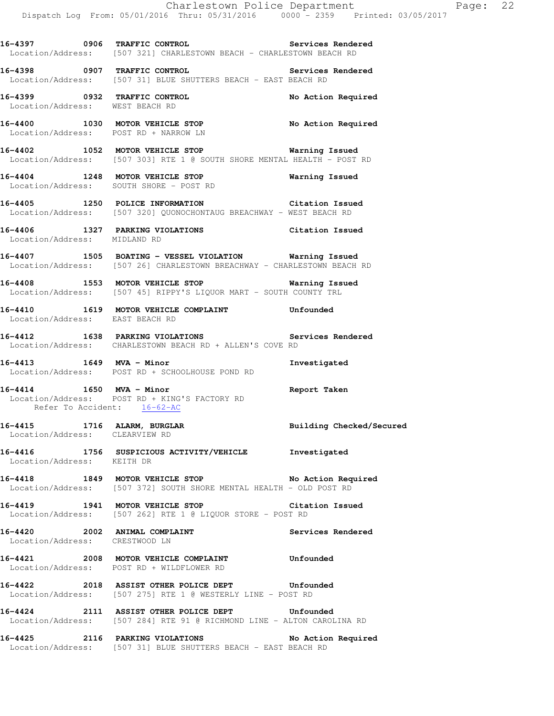**16-4397 0906 TRAFFIC CONTROL Services Rendered**  Location/Address: [507 321] CHARLESTOWN BEACH - CHARLESTOWN BEACH RD **16-4398 0907 TRAFFIC CONTROL Services Rendered**  Location/Address: [507 31] BLUE SHUTTERS BEACH - EAST BEACH RD **16-4399 0932 TRAFFIC CONTROL No Action Required**  Location/Address: WEST BEACH RD

**16-4400 1030 MOTOR VEHICLE STOP No Action Required**  Location/Address: POST RD + NARROW LN

**16-4402 1052 MOTOR VEHICLE STOP Warning Issued**  Location/Address: [507 303] RTE 1 @ SOUTH SHORE MENTAL HEALTH - POST RD

**16-4404 1248 MOTOR VEHICLE STOP Warning Issued**  Location/Address: SOUTH SHORE - POST RD

**16-4405 1250 POLICE INFORMATION Citation Issued**  Location/Address: [507 320] QUONOCHONTAUG BREACHWAY - WEST BEACH RD

**16-4406 1327 PARKING VIOLATIONS Citation Issued**  Location/Address: MIDLAND RD

**16-4407 1505 BOATING - VESSEL VIOLATION Warning Issued**  Location/Address: [507 26] CHARLESTOWN BREACHWAY - CHARLESTOWN BEACH RD

**16-4408 1553 MOTOR VEHICLE STOP Warning Issued**  Location/Address: [507 45] RIPPY'S LIQUOR MART - SOUTH COUNTY TRL

**16-4410 1619 MOTOR VEHICLE COMPLAINT Unfounded**  Location/Address: EAST BEACH RD

**16-4412 1638 PARKING VIOLATIONS Services Rendered**  Location/Address: CHARLESTOWN BEACH RD + ALLEN'S COVE RD

**16-4413 1649 MVA - Minor Investigated**  Location/Address: POST RD + SCHOOLHOUSE POND RD

**16-4414 1650 MVA - Minor Report Taken**  Location/Address: POST RD + KING'S FACTORY RD Refer To Accident: 16-62-AC

16-4415 1716 ALARM, BURGLAR **Building Checked/Secured** Location/Address: CLEARVIEW RD

**16-4416 1756 SUSPICIOUS ACTIVITY/VEHICLE Investigated**  Location/Address: KEITH DR

**16-4418 1849 MOTOR VEHICLE STOP No Action Required**  Location/Address: [507 372] SOUTH SHORE MENTAL HEALTH - OLD POST RD

**16-4419 1941 MOTOR VEHICLE STOP Citation Issued**  Location/Address: [507 262] RTE 1 @ LIQUOR STORE - POST RD

**16-4420 2002 ANIMAL COMPLAINT Services Rendered**  Location/Address: CRESTWOOD LN

**16-4421 2008 MOTOR VEHICLE COMPLAINT Unfounded**  Location/Address: POST RD + WILDFLOWER RD

**16-4422 2018 ASSIST OTHER POLICE DEPT Unfounded**  Location/Address: [507 275] RTE 1 @ WESTERLY LINE - POST RD

**16-4424 2111 ASSIST OTHER POLICE DEPT Unfounded**  Location/Address: [507 284] RTE 91 @ RICHMOND LINE - ALTON CAROLINA RD

**16-4425 2116 PARKING VIOLATIONS No Action Required**  Location/Address: [507 31] BLUE SHUTTERS BEACH - EAST BEACH RD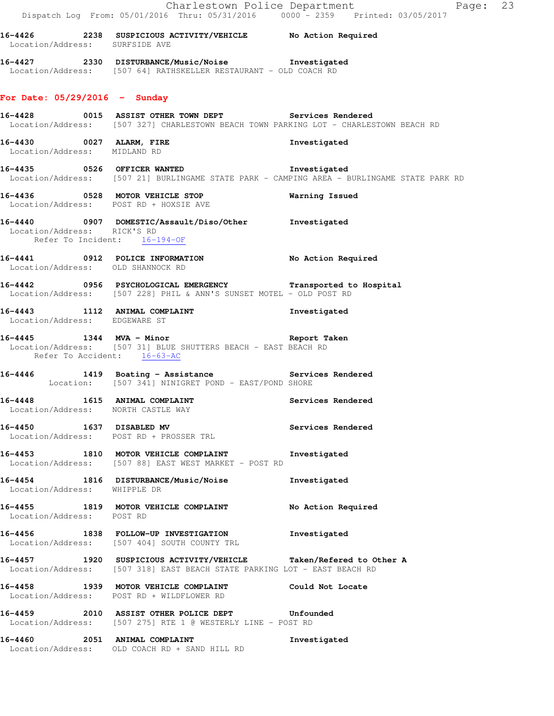| Location/Address: SURFSIDE AVE    | 16-4426 2238 SUSPICIOUS ACTIVITY/VEHICLE No Action Required                                                                                       |                                                                                            |
|-----------------------------------|---------------------------------------------------------------------------------------------------------------------------------------------------|--------------------------------------------------------------------------------------------|
|                                   | 16-4427 2330 DISTURBANCE/Music/Noise Investigated<br>Location/Address: [507 64] RATHSKELLER RESTAURANT - OLD COACH RD                             |                                                                                            |
| For Date: 05/29/2016 - Sunday     |                                                                                                                                                   |                                                                                            |
|                                   | 16-4428 		 0015 ASSIST OTHER TOWN DEPT Services Rendered<br>Location/Address: [507 327] CHARLESTOWN BEACH TOWN PARKING LOT - CHARLESTOWN BEACH RD |                                                                                            |
| Location/Address: MIDLAND RD      | 16-4430 0027 ALARM, FIRE                                                                                                                          | Investigated                                                                               |
|                                   | 16-4435 0526 OFFICER WANTED 10-4435                                                                                                               | Location/Address: [507 21] BURLINGAME STATE PARK - CAMPING AREA - BURLINGAME STATE PARK RD |
|                                   | 16-4436 0528 MOTOR VEHICLE STOP<br>Location/Address: POST RD + HOXSIE AVE                                                                         | Warning Issued                                                                             |
| Location/Address: RICK'S RD       | 16-4440 0907 DOMESTIC/Assault/Diso/Other Investigated<br>Refer To Incident: 16-194-OF                                                             |                                                                                            |
| Location/Address: OLD SHANNOCK RD | 16-4441 0912 POLICE INFORMATION No Action Required                                                                                                |                                                                                            |
|                                   | 16-4442 0956 PSYCHOLOGICAL EMERGENCY Transported to Hospital<br>Location/Address: [507 228] PHIL & ANN'S SUNSET MOTEL - OLD POST RD               |                                                                                            |
| Location/Address: EDGEWARE ST     | 16-4443 1112 ANIMAL COMPLAINT                                                                                                                     | Investigated                                                                               |
| Refer To Accident: 16-63-AC       | -<br>16-4445 1344 MVA - Minor 1988 1999 Report Taken<br>Location/Address: [507 31] BLUE SHUTTERS BEACH - EAST BEACH RD                            |                                                                                            |
|                                   | 16-4446 1419 Boating - Assistance Nervices Rendered<br>Location: [507 341] NINIGRET POND - EAST/POND SHORE                                        |                                                                                            |
|                                   | 16-4448 1615 ANIMAL COMPLAINT<br>Location/Address: NORTH CASTLE WAY                                                                               | Services Rendered                                                                          |
| 16-4450                           | 1637 DISABLED MV<br>Location/Address: POST RD + PROSSER TRL                                                                                       | Services Rendered                                                                          |
|                                   | 16-4453 1810 MOTOR VEHICLE COMPLAINT<br>Location/Address: [507 88] EAST WEST MARKET - POST RD                                                     | Investigated                                                                               |
| Location/Address: WHIPPLE DR      | 16-4454 1816 DISTURBANCE/Music/Noise                                                                                                              | Investigated                                                                               |
| Location/Address: POST RD         | 16-4455 1819 MOTOR VEHICLE COMPLAINT                                                                                                              | No Action Required                                                                         |
|                                   | 16-4456 1838 FOLLOW-UP INVESTIGATION<br>Location/Address: [507 404] SOUTH COUNTY TRL                                                              | Investigated                                                                               |
|                                   | 16-4457 1920 SUSPICIOUS ACTIVITY/VEHICLE Taken/Refered to Other A<br>Location/Address: [507 318] EAST BEACH STATE PARKING LOT - EAST BEACH RD     |                                                                                            |
|                                   | 16-4458 1939 MOTOR VEHICLE COMPLAINT<br>Location/Address: POST RD + WILDFLOWER RD                                                                 | Could Not Locate                                                                           |
|                                   | 16-4459 2010 ASSIST OTHER POLICE DEPT Unfounded<br>Location/Address: [507 275] RTE 1 @ WESTERLY LINE - POST RD                                    |                                                                                            |
| 16-4460                           | 2051 ANIMAL COMPLAINT<br>Location/Address: OLD COACH RD + SAND HILL RD                                                                            | Investigated                                                                               |

Charlestown Police Department Page: 23

Dispatch Log From: 05/01/2016 Thru: 05/31/2016 0000 - 2359 Printed: 03/05/2017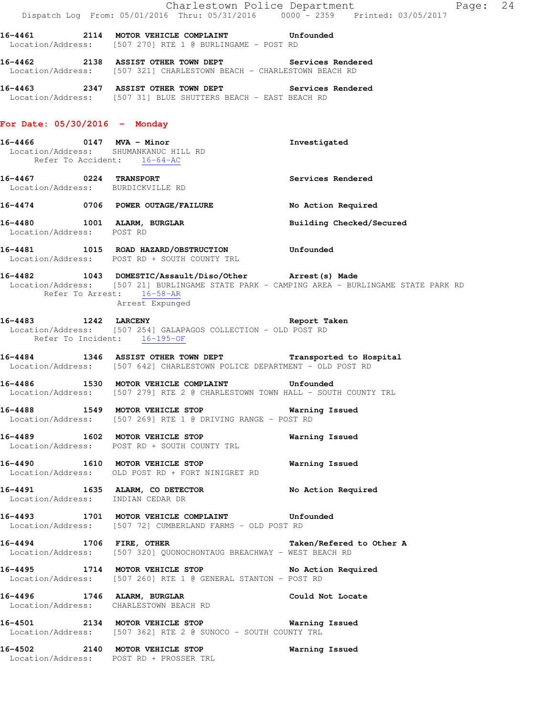|                                   | Dispatch Log From: 05/01/2016 Thru: 05/31/2016 0000 <sup>-</sup> 2359 Printed: 03/05/2017                                                                                | Charlestown Police Department<br>Page: 24 |  |
|-----------------------------------|--------------------------------------------------------------------------------------------------------------------------------------------------------------------------|-------------------------------------------|--|
|                                   | 16-4461 2114 MOTOR VEHICLE COMPLAINT Unfounded<br>Location/Address: [507 270] RTE 1 @ BURLINGAME - POST RD                                                               |                                           |  |
|                                   | 16-4462 2138 ASSIST OTHER TOWN DEPT Services Rendered<br>Location/Address: [507 321] CHARLESTOWN BEACH - CHARLESTOWN BEACH RD                                            |                                           |  |
|                                   | 16-4463 2347 ASSIST OTHER TOWN DEPT Services Rendered Location/Address: [507 31] BLUE SHUTTERS BEACH - EAST BEACH RD                                                     |                                           |  |
| For Date: $05/30/2016$ - Monday   |                                                                                                                                                                          |                                           |  |
|                                   | 16-4466 0147 MVA - Minor<br>Location/Address: SHUMANKANUC HILL RD<br>Refer To Accident: 16-64-AC                                                                         | Investigated                              |  |
| Location/Address: BURDICKVILLE RD | 16-4467 0224 TRANSPORT                                                                                                                                                   | Services Rendered                         |  |
|                                   | 16-4474 0706 POWER OUTAGE/FAILURE                                                                                                                                        | No Action Required                        |  |
| Location/Address: POST RD         | 16-4480 1001 ALARM, BURGLAR                                                                                                                                              | Building Checked/Secured                  |  |
|                                   | 16-4481 1015 ROAD HAZARD/OBSTRUCTION Unfounded<br>Location/Address: POST RD + SOUTH COUNTY TRL                                                                           |                                           |  |
| Refer To Arrest: 16-58-AR         | 16-4482 1043 DOMESTIC/Assault/Diso/Other Arrest(s) Made<br>Location/Address: [507 21] BURLINGAME STATE PARK - CAMPING AREA - BURLINGAME STATE PARK RD<br>Arrest Expunged |                                           |  |
| Refer To Incident: 16-195-OF      | 16-4483 1242 LARCENY<br>Location/Address: [507 254] GALAPAGOS COLLECTION - OLD POST RD                                                                                   | Report Taken                              |  |
|                                   | 16-4484 1346 ASSIST OTHER TOWN DEPT Transported to Hospital<br>Location/Address: [507 642] CHARLESTOWN POLICE DEPARTMENT - OLD POST RD                                   |                                           |  |
|                                   | 16-4486 1530 MOTOR VEHICLE COMPLAINT Unfounded<br>Location/Address: [507 279] RTE 2 @ CHARLESTOWN TOWN HALL - SOUTH COUNTY TRL                                           |                                           |  |
|                                   | 16-4488 1549 MOTOR VEHICLE STOP 6 Warning Issued<br>Location/Address: [507 269] RTE 1 @ DRIVING RANGE - POST RD                                                          |                                           |  |
|                                   | 16-4489 1602 MOTOR VEHICLE STOP 6 Warning Issued<br>Location/Address: POST RD + SOUTH COUNTY TRL                                                                         |                                           |  |
|                                   | 16-4490 1610 MOTOR VEHICLE STOP 60 Warning Issued<br>Location/Address: OLD POST RD + FORT NINIGRET RD                                                                    |                                           |  |
|                                   | 16-4491 1635 ALARM, CO DETECTOR No Action Required<br>Location/Address: INDIAN CEDAR DR                                                                                  |                                           |  |
|                                   | 16-4493 1701 MOTOR VEHICLE COMPLAINT Unfounded<br>Location/Address: [507 72] CUMBERLAND FARMS - OLD POST RD                                                              |                                           |  |
|                                   | 16-4494 1706 FIRE, OTHER Taken/Refered to Other A<br>Location/Address: [507 320] QUONOCHONTAUG BREACHWAY - WEST BEACH RD                                                 |                                           |  |
|                                   | 16-4495 1714 MOTOR VEHICLE STOP No Action Required<br>Location/Address: [507 260] RTE 1 @ GENERAL STANTON - POST RD                                                      |                                           |  |
|                                   | 16-4496 1746 ALARM, BURGLAR 1999 2001 Could Not Locate<br>Location/Address: CHARLESTOWN BEACH RD                                                                         |                                           |  |
|                                   | 16-4501 2134 MOTOR VEHICLE STOP Warning Issued<br>Location/Address: [507 362] RTE 2 @ SUNOCO - SOUTH COUNTY TRL                                                          |                                           |  |
|                                   | 16-4502 2140 MOTOR VEHICLE STOP<br>Location/Address: POST RD + PROSSER TRL                                                                                               | Warning Issued                            |  |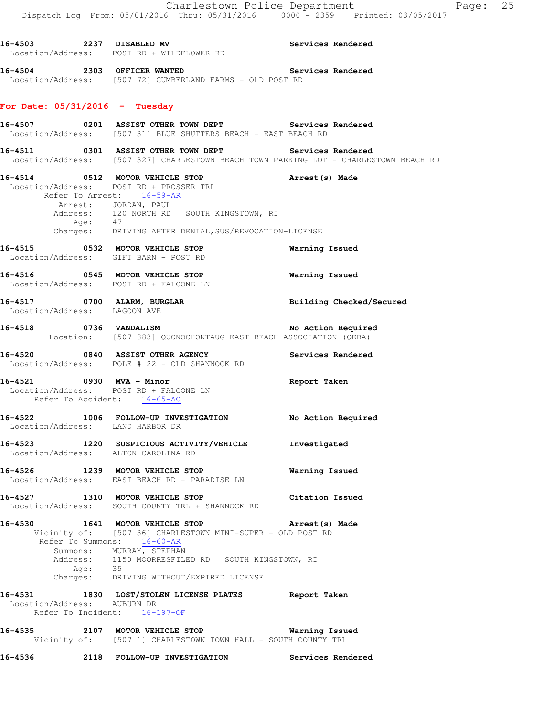**16-4503 2237 DISABLED MV Services Rendered** 

|                                                         | Location/Address: POST RD + WILDFLOWER RD                                                                                                                                                                                                                           |                          |
|---------------------------------------------------------|---------------------------------------------------------------------------------------------------------------------------------------------------------------------------------------------------------------------------------------------------------------------|--------------------------|
|                                                         | 16-4504 2303 OFFICER WANTED<br>Location/Address: [507 72] CUMBERLAND FARMS - OLD POST RD                                                                                                                                                                            | Services Rendered        |
| For Date: $05/31/2016$ - Tuesday                        |                                                                                                                                                                                                                                                                     |                          |
|                                                         | 16-4507 6201 ASSIST OTHER TOWN DEPT Services Rendered<br>Location/Address: [507 31] BLUE SHUTTERS BEACH - EAST BEACH RD                                                                                                                                             |                          |
|                                                         | 16-4511 6301 ASSIST OTHER TOWN DEPT Services Rendered<br>Location/Address: [507 327] CHARLESTOWN BEACH TOWN PARKING LOT - CHARLESTOWN BEACH RD                                                                                                                      |                          |
|                                                         | 16-4514 0512 MOTOR VEHICLE STOP<br>Location/Address: POST RD + PROSSER TRL<br>Refer To Arrest: 16-59-AR                                                                                                                                                             | Arrest (s) Made          |
|                                                         | Arrest: JORDAN, PAUL<br>Address: 120 NORTH RD SOUTH KINGSTOWN, RI<br>47                                                                                                                                                                                             |                          |
| Age:                                                    | Charges: DRIVING AFTER DENIAL, SUS/REVOCATION-LICENSE                                                                                                                                                                                                               |                          |
|                                                         | 16-4515 0532 MOTOR VEHICLE STOP<br>Location/Address: GIFT BARN - POST RD                                                                                                                                                                                            | <b>Warning Issued</b>    |
|                                                         | 16-4516 0545 MOTOR VEHICLE STOP<br>Location/Address: POST RD + FALCONE LN                                                                                                                                                                                           | <b>Warning Issued</b>    |
| Location/Address: LAGOON AVE                            | 16-4517 0700 ALARM, BURGLAR                                                                                                                                                                                                                                         | Building Checked/Secured |
|                                                         | 16-4518 0736 VANDALISM<br>Location: [507 883] QUONOCHONTAUG EAST BEACH ASSOCIATION (QEBA)                                                                                                                                                                           | No Action Required       |
|                                                         | 16-4520 0840 ASSIST OTHER AGENCY Services Rendered<br>Location/Address: POLE # 22 - OLD SHANNOCK RD                                                                                                                                                                 |                          |
| 16-4521 0930 MVA - Minor<br>Refer To Accident: 16-65-AC | Location/Address: POST RD + FALCONE LN                                                                                                                                                                                                                              | Report Taken             |
| Location/Address: LAND HARBOR DR                        | 16-4522 1006 FOLLOW-UP INVESTIGATION No Action Required                                                                                                                                                                                                             |                          |
| Location/Address: ALTON CAROLINA RD                     | 16-4523 1220 SUSPICIOUS ACTIVITY/VEHICLE Investigated                                                                                                                                                                                                               |                          |
|                                                         | 16-4526 1239 MOTOR VEHICLE STOP<br>Location/Address: EAST BEACH RD + PARADISE LN                                                                                                                                                                                    | Warning Issued           |
|                                                         | 16-4527 1310 MOTOR VEHICLE STOP<br>Location/Address: SOUTH COUNTY TRL + SHANNOCK RD                                                                                                                                                                                 | Citation Issued          |
|                                                         | 16-4530 1641 MOTOR VEHICLE STOP<br>Vicinity of: [507 36] CHARLESTOWN MINI-SUPER - OLD POST RD<br>Refer To Summons: 16-60-AR<br>Summons: MURRAY, STEPHAN<br>Address: 1150 MOORRESFILED RD SOUTH KINGSTOWN, RI<br>Age: 35<br>Charges: DRIVING WITHOUT/EXPIRED LICENSE | Arrest(s) Made           |
| 16-4531<br>Location/Address: AUBURN DR                  | 1830 LOST/STOLEN LICENSE PLATES Report Taken<br>Refer To Incident: 16-197-OF                                                                                                                                                                                        |                          |
|                                                         | 16-4535 2107 MOTOR VEHICLE STOP<br>Vicinity of: [507 1] CHARLESTOWN TOWN HALL - SOUTH COUNTY TRL                                                                                                                                                                    | Warning Issued           |

**16-4536 2118 FOLLOW-UP INVESTIGATION Services Rendered**